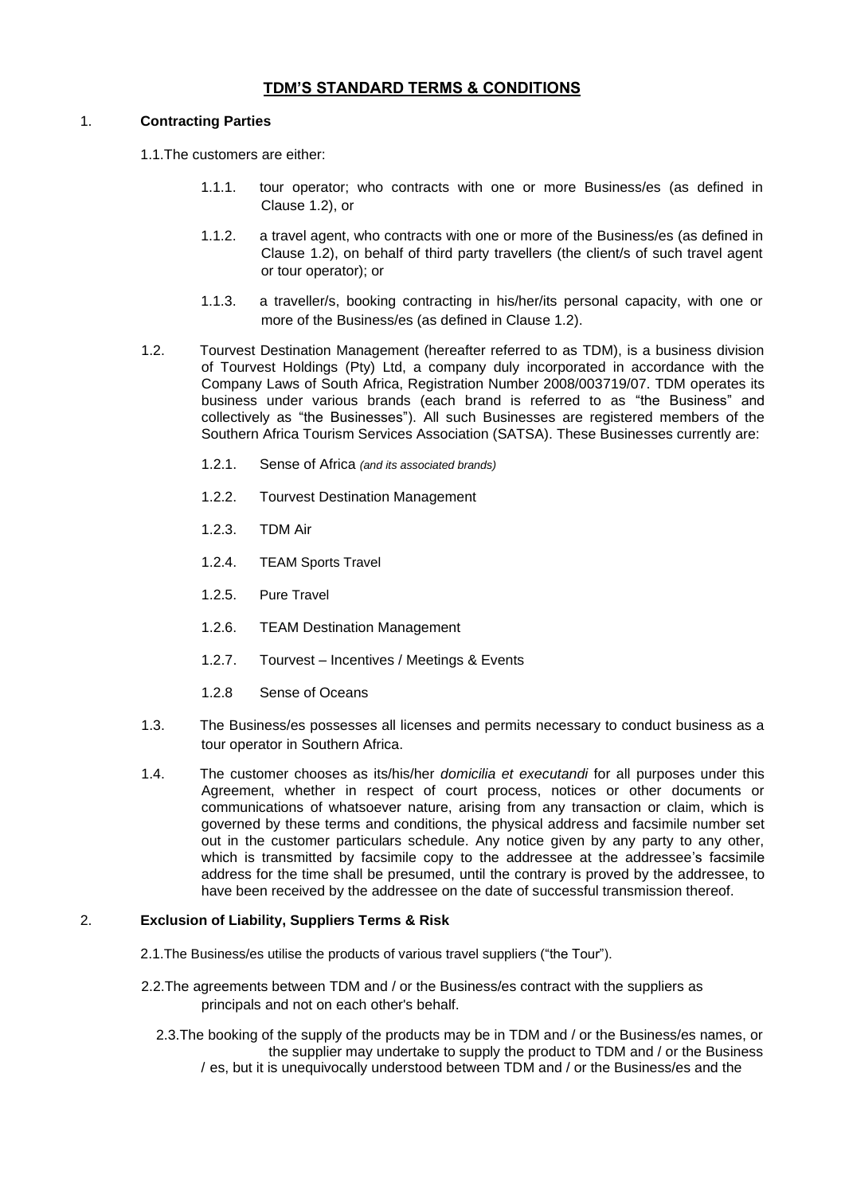# **TDM'S STANDARD TERMS & CONDITIONS**

### 1. **Contracting Parties**

1.1.The customers are either:

- 1.1.1. tour operator; who contracts with one or more Business/es (as defined in Clause 1.2), or
- 1.1.2. a travel agent, who contracts with one or more of the Business/es (as defined in Clause 1.2), on behalf of third party travellers (the client/s of such travel agent or tour operator); or
- 1.1.3. a traveller/s, booking contracting in his/her/its personal capacity, with one or more of the Business/es (as defined in Clause 1.2).
- 1.2. Tourvest Destination Management (hereafter referred to as TDM), is a business division of Tourvest Holdings (Pty) Ltd, a company duly incorporated in accordance with the Company Laws of South Africa, Registration Number 2008/003719/07. TDM operates its business under various brands (each brand is referred to as "the Business" and collectively as "the Businesses"). All such Businesses are registered members of the Southern Africa Tourism Services Association (SATSA). These Businesses currently are:
	- 1.2.1. Sense of Africa *(and its associated brands)*
	- 1.2.2. Tourvest Destination Management
	- 1.2.3. TDM Air
	- 1.2.4. TEAM Sports Travel
	- 1.2.5. Pure Travel
	- 1.2.6. TEAM Destination Management
	- 1.2.7. Tourvest Incentives / Meetings & Events
	- 1.2.8 Sense of Oceans
- 1.3. The Business/es possesses all licenses and permits necessary to conduct business as a tour operator in Southern Africa.
- 1.4. The customer chooses as its/his/her *domicilia et executandi* for all purposes under this Agreement, whether in respect of court process, notices or other documents or communications of whatsoever nature, arising from any transaction or claim, which is governed by these terms and conditions, the physical address and facsimile number set out in the customer particulars schedule. Any notice given by any party to any other, which is transmitted by facsimile copy to the addressee at the addressee's facsimile address for the time shall be presumed, until the contrary is proved by the addressee, to have been received by the addressee on the date of successful transmission thereof.

# 2. **Exclusion of Liability, Suppliers Terms & Risk**

- 2.1.The Business/es utilise the products of various travel suppliers ("the Tour").
- 2.2.The agreements between TDM and / or the Business/es contract with the suppliers as principals and not on each other's behalf.
	- 2.3.The booking of the supply of the products may be in TDM and / or the Business/es names, or the supplier may undertake to supply the product to TDM and / or the Business / es, but it is unequivocally understood between TDM and / or the Business/es and the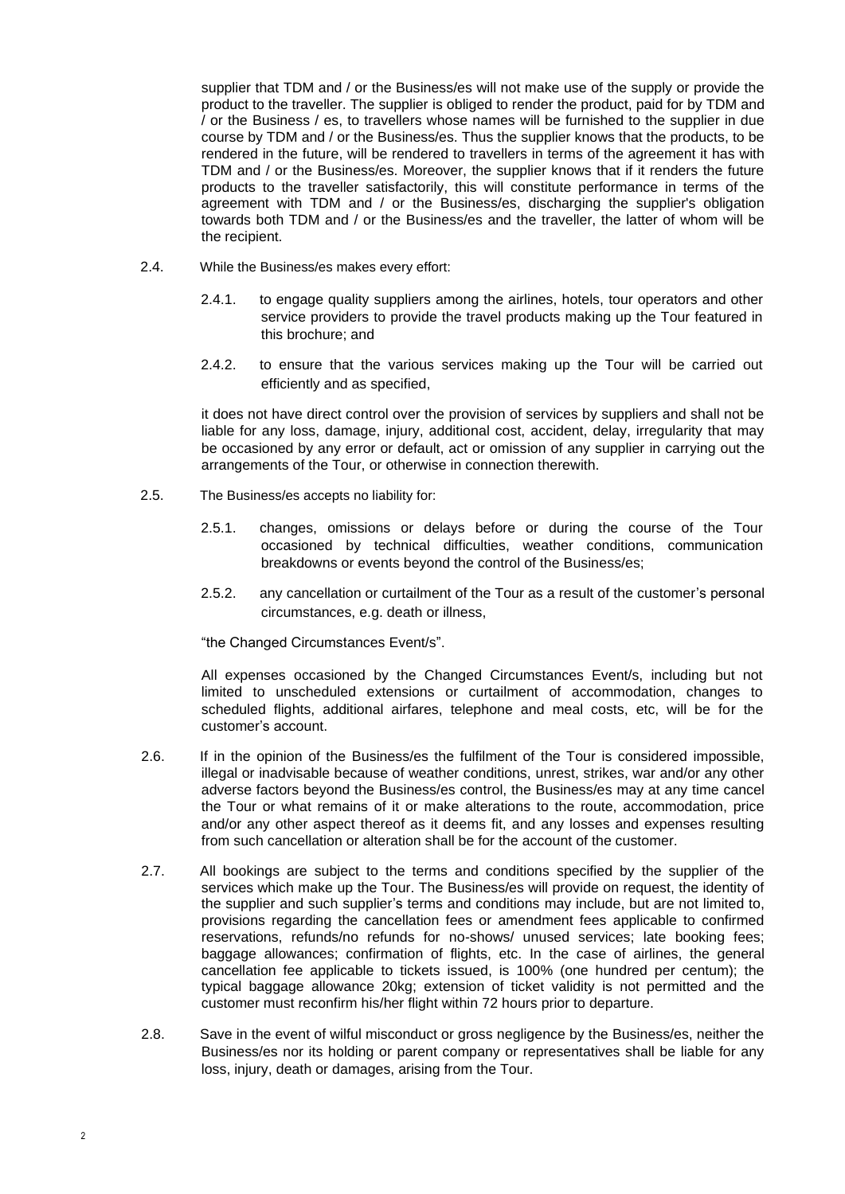supplier that TDM and / or the Business/es will not make use of the supply or provide the product to the traveller. The supplier is obliged to render the product, paid for by TDM and / or the Business / es, to travellers whose names will be furnished to the supplier in due course by TDM and / or the Business/es. Thus the supplier knows that the products, to be rendered in the future, will be rendered to travellers in terms of the agreement it has with TDM and / or the Business/es. Moreover, the supplier knows that if it renders the future products to the traveller satisfactorily, this will constitute performance in terms of the agreement with TDM and / or the Business/es, discharging the supplier's obligation towards both TDM and / or the Business/es and the traveller, the latter of whom will be the recipient.

- 2.4. While the Business/es makes every effort:
	- 2.4.1. to engage quality suppliers among the airlines, hotels, tour operators and other service providers to provide the travel products making up the Tour featured in this brochure; and
	- 2.4.2. to ensure that the various services making up the Tour will be carried out efficiently and as specified,

it does not have direct control over the provision of services by suppliers and shall not be liable for any loss, damage, injury, additional cost, accident, delay, irregularity that may be occasioned by any error or default, act or omission of any supplier in carrying out the arrangements of the Tour, or otherwise in connection therewith.

- 2.5. The Business/es accepts no liability for:
	- 2.5.1. changes, omissions or delays before or during the course of the Tour occasioned by technical difficulties, weather conditions, communication breakdowns or events beyond the control of the Business/es;
	- 2.5.2. any cancellation or curtailment of the Tour as a result of the customer's personal circumstances, e.g. death or illness,

"the Changed Circumstances Event/s".

All expenses occasioned by the Changed Circumstances Event/s, including but not limited to unscheduled extensions or curtailment of accommodation, changes to scheduled flights, additional airfares, telephone and meal costs, etc, will be for the customer's account.

- 2.6. If in the opinion of the Business/es the fulfilment of the Tour is considered impossible, illegal or inadvisable because of weather conditions, unrest, strikes, war and/or any other adverse factors beyond the Business/es control, the Business/es may at any time cancel the Tour or what remains of it or make alterations to the route, accommodation, price and/or any other aspect thereof as it deems fit, and any losses and expenses resulting from such cancellation or alteration shall be for the account of the customer.
- 2.7. All bookings are subject to the terms and conditions specified by the supplier of the services which make up the Tour. The Business/es will provide on request, the identity of the supplier and such supplier's terms and conditions may include, but are not limited to, provisions regarding the cancellation fees or amendment fees applicable to confirmed reservations, refunds/no refunds for no-shows/ unused services; late booking fees; baggage allowances; confirmation of flights, etc. In the case of airlines, the general cancellation fee applicable to tickets issued, is 100% (one hundred per centum); the typical baggage allowance 20kg; extension of ticket validity is not permitted and the customer must reconfirm his/her flight within 72 hours prior to departure.
- 2.8. Save in the event of wilful misconduct or gross negligence by the Business/es, neither the Business/es nor its holding or parent company or representatives shall be liable for any loss, injury, death or damages, arising from the Tour.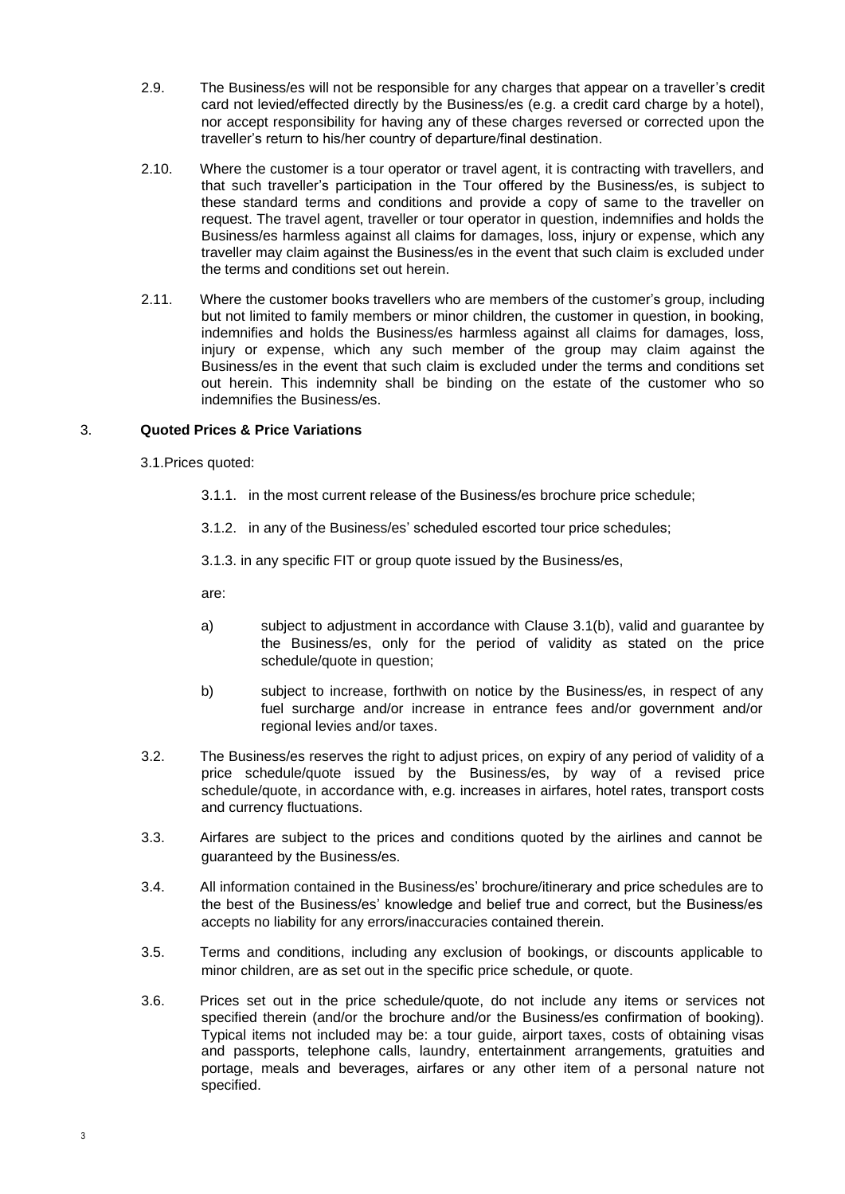- 2.9. The Business/es will not be responsible for any charges that appear on a traveller's credit card not levied/effected directly by the Business/es (e.g. a credit card charge by a hotel), nor accept responsibility for having any of these charges reversed or corrected upon the traveller's return to his/her country of departure/final destination.
- 2.10. Where the customer is a tour operator or travel agent, it is contracting with travellers, and that such traveller's participation in the Tour offered by the Business/es, is subject to these standard terms and conditions and provide a copy of same to the traveller on request. The travel agent, traveller or tour operator in question, indemnifies and holds the Business/es harmless against all claims for damages, loss, injury or expense, which any traveller may claim against the Business/es in the event that such claim is excluded under the terms and conditions set out herein.
- 2.11. Where the customer books travellers who are members of the customer's group, including but not limited to family members or minor children, the customer in question, in booking, indemnifies and holds the Business/es harmless against all claims for damages, loss, injury or expense, which any such member of the group may claim against the Business/es in the event that such claim is excluded under the terms and conditions set out herein. This indemnity shall be binding on the estate of the customer who so indemnifies the Business/es.

# 3. **Quoted Prices & Price Variations**

3.1.Prices quoted:

- 3.1.1. in the most current release of the Business/es brochure price schedule;
- 3.1.2. in any of the Business/es' scheduled escorted tour price schedules;

3.1.3. in any specific FIT or group quote issued by the Business/es,

are:

- a) subject to adjustment in accordance with Clause 3.1(b), valid and guarantee by the Business/es, only for the period of validity as stated on the price schedule/quote in question:
- b) subject to increase, forthwith on notice by the Business/es, in respect of any fuel surcharge and/or increase in entrance fees and/or government and/or regional levies and/or taxes.
- 3.2. The Business/es reserves the right to adjust prices, on expiry of any period of validity of a price schedule/quote issued by the Business/es, by way of a revised price schedule/quote, in accordance with, e.g. increases in airfares, hotel rates, transport costs and currency fluctuations.
- 3.3. Airfares are subject to the prices and conditions quoted by the airlines and cannot be guaranteed by the Business/es.
- 3.4. All information contained in the Business/es' brochure/itinerary and price schedules are to the best of the Business/es' knowledge and belief true and correct, but the Business/es accepts no liability for any errors/inaccuracies contained therein.
- 3.5. Terms and conditions, including any exclusion of bookings, or discounts applicable to minor children, are as set out in the specific price schedule, or quote.
- 3.6. Prices set out in the price schedule/quote, do not include any items or services not specified therein (and/or the brochure and/or the Business/es confirmation of booking). Typical items not included may be: a tour guide, airport taxes, costs of obtaining visas and passports, telephone calls, laundry, entertainment arrangements, gratuities and portage, meals and beverages, airfares or any other item of a personal nature not specified.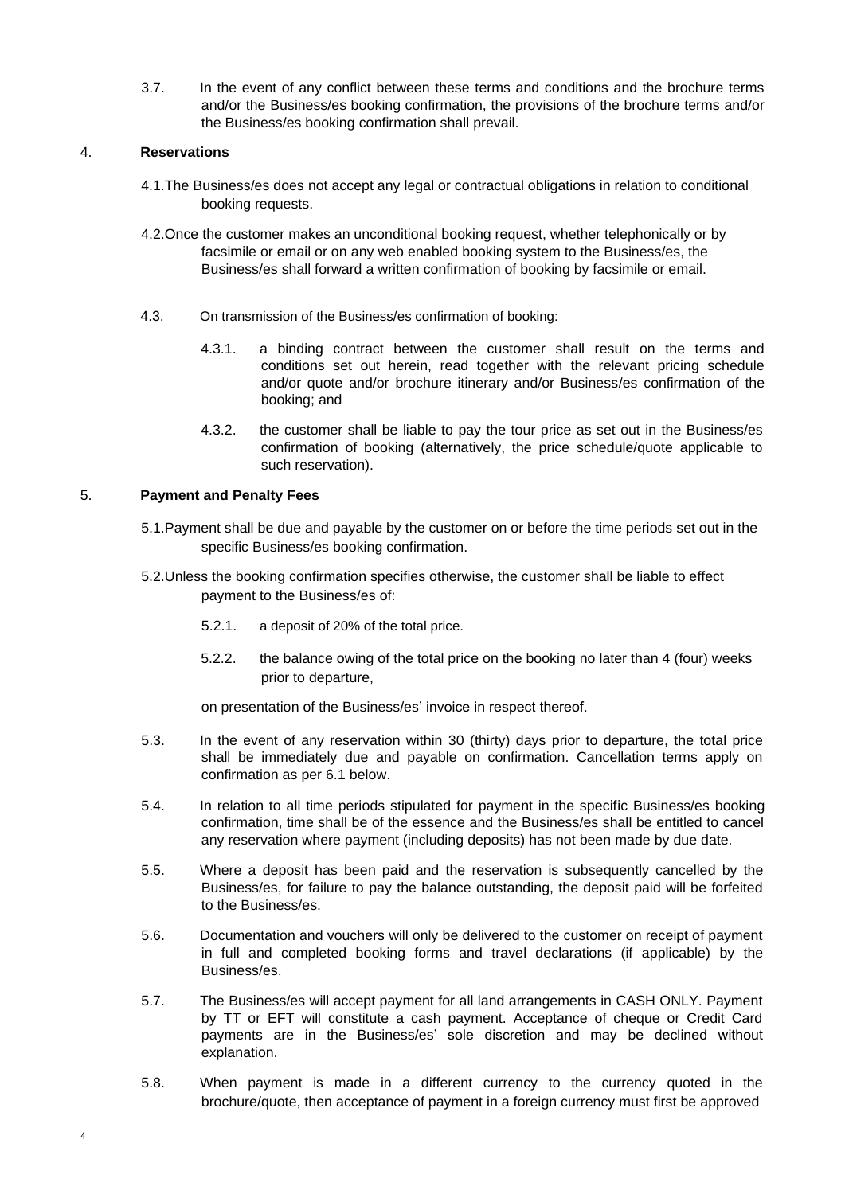3.7. In the event of any conflict between these terms and conditions and the brochure terms and/or the Business/es booking confirmation, the provisions of the brochure terms and/or the Business/es booking confirmation shall prevail.

# 4. **Reservations**

- 4.1.The Business/es does not accept any legal or contractual obligations in relation to conditional booking requests.
- 4.2.Once the customer makes an unconditional booking request, whether telephonically or by facsimile or email or on any web enabled booking system to the Business/es, the Business/es shall forward a written confirmation of booking by facsimile or email.
- 4.3. On transmission of the Business/es confirmation of booking:
	- 4.3.1. a binding contract between the customer shall result on the terms and conditions set out herein, read together with the relevant pricing schedule and/or quote and/or brochure itinerary and/or Business/es confirmation of the booking; and
	- 4.3.2. the customer shall be liable to pay the tour price as set out in the Business/es confirmation of booking (alternatively, the price schedule/quote applicable to such reservation).

# 5. **Payment and Penalty Fees**

- 5.1.Payment shall be due and payable by the customer on or before the time periods set out in the specific Business/es booking confirmation.
- 5.2.Unless the booking confirmation specifies otherwise, the customer shall be liable to effect payment to the Business/es of:
	- 5.2.1. a deposit of 20% of the total price.
	- 5.2.2. the balance owing of the total price on the booking no later than 4 (four) weeks prior to departure,

on presentation of the Business/es' invoice in respect thereof.

- 5.3. In the event of any reservation within 30 (thirty) days prior to departure, the total price shall be immediately due and payable on confirmation. Cancellation terms apply on confirmation as per 6.1 below.
- 5.4. In relation to all time periods stipulated for payment in the specific Business/es booking confirmation, time shall be of the essence and the Business/es shall be entitled to cancel any reservation where payment (including deposits) has not been made by due date.
- 5.5. Where a deposit has been paid and the reservation is subsequently cancelled by the Business/es, for failure to pay the balance outstanding, the deposit paid will be forfeited to the Business/es.
- 5.6. Documentation and vouchers will only be delivered to the customer on receipt of payment in full and completed booking forms and travel declarations (if applicable) by the Business/es.
- 5.7. The Business/es will accept payment for all land arrangements in CASH ONLY. Payment by TT or EFT will constitute a cash payment. Acceptance of cheque or Credit Card payments are in the Business/es' sole discretion and may be declined without explanation.
- 5.8. When payment is made in a different currency to the currency quoted in the brochure/quote, then acceptance of payment in a foreign currency must first be approved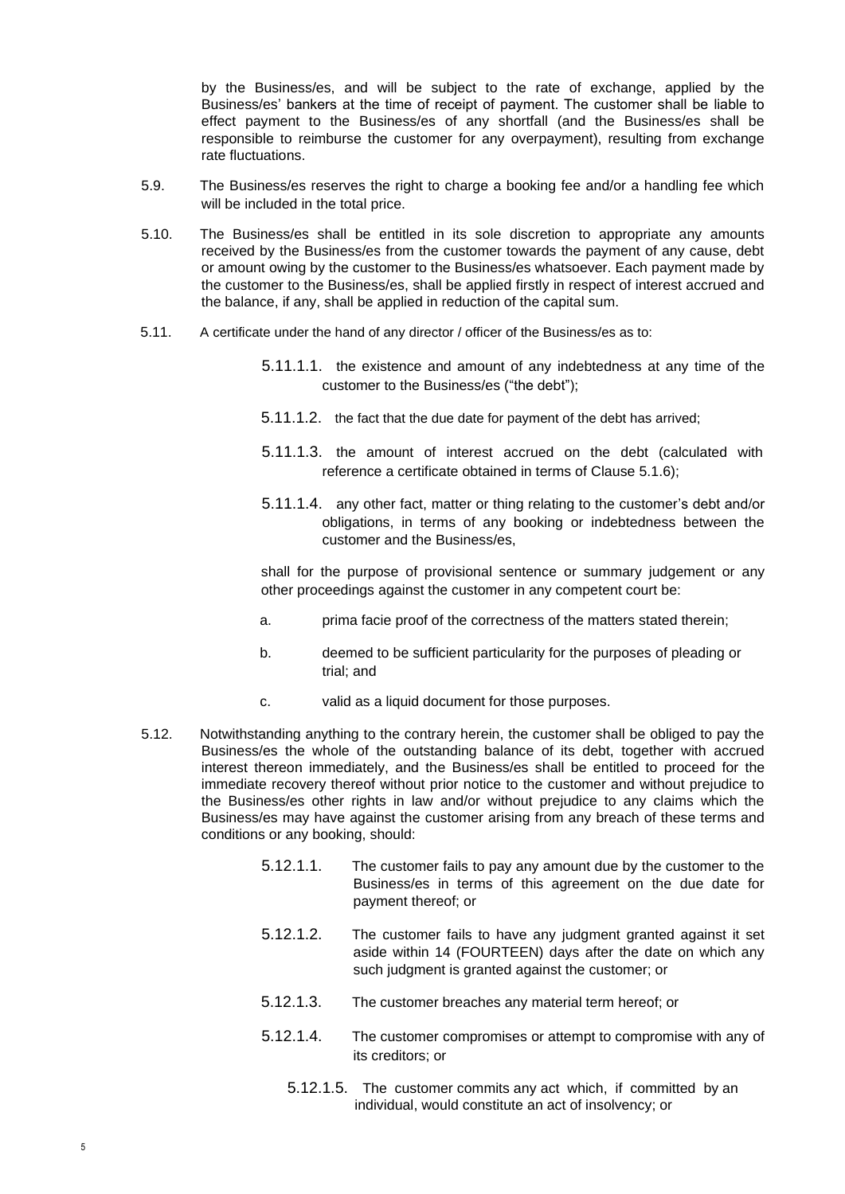by the Business/es, and will be subject to the rate of exchange, applied by the Business/es' bankers at the time of receipt of payment. The customer shall be liable to effect payment to the Business/es of any shortfall (and the Business/es shall be responsible to reimburse the customer for any overpayment), resulting from exchange rate fluctuations.

- 5.9. The Business/es reserves the right to charge a booking fee and/or a handling fee which will be included in the total price.
- 5.10. The Business/es shall be entitled in its sole discretion to appropriate any amounts received by the Business/es from the customer towards the payment of any cause, debt or amount owing by the customer to the Business/es whatsoever. Each payment made by the customer to the Business/es, shall be applied firstly in respect of interest accrued and the balance, if any, shall be applied in reduction of the capital sum.
- 5.11. A certificate under the hand of any director / officer of the Business/es as to:
	- 5.11.1.1. the existence and amount of any indebtedness at any time of the customer to the Business/es ("the debt");
	- 5.11.1.2. the fact that the due date for payment of the debt has arrived;
	- 5.11.1.3. the amount of interest accrued on the debt (calculated with reference a certificate obtained in terms of Clause 5.1.6);
	- 5.11.1.4. any other fact, matter or thing relating to the customer's debt and/or obligations, in terms of any booking or indebtedness between the customer and the Business/es,

shall for the purpose of provisional sentence or summary judgement or any other proceedings against the customer in any competent court be:

- a. prima facie proof of the correctness of the matters stated therein;
- b. deemed to be sufficient particularity for the purposes of pleading or trial; and
- c. valid as a liquid document for those purposes.
- 5.12. Notwithstanding anything to the contrary herein, the customer shall be obliged to pay the Business/es the whole of the outstanding balance of its debt, together with accrued interest thereon immediately, and the Business/es shall be entitled to proceed for the immediate recovery thereof without prior notice to the customer and without prejudice to the Business/es other rights in law and/or without prejudice to any claims which the Business/es may have against the customer arising from any breach of these terms and conditions or any booking, should:
	- 5.12.1.1. The customer fails to pay any amount due by the customer to the Business/es in terms of this agreement on the due date for payment thereof; or
	- 5.12.1.2. The customer fails to have any judgment granted against it set aside within 14 (FOURTEEN) days after the date on which any such judgment is granted against the customer; or
	- 5.12.1.3. The customer breaches any material term hereof; or
	- 5.12.1.4. The customer compromises or attempt to compromise with any of its creditors; or
		- 5.12.1.5. The customer commits any act which, if committed by an individual, would constitute an act of insolvency; or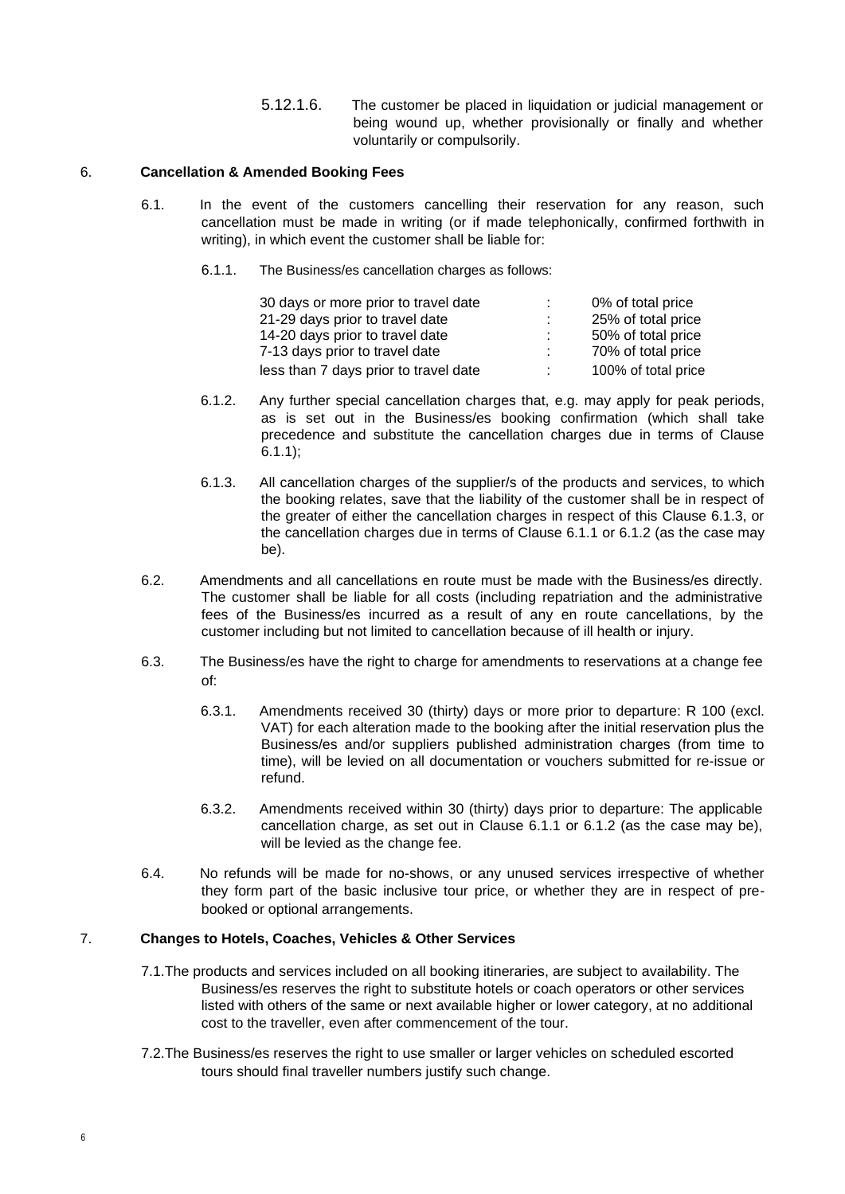5.12.1.6. The customer be placed in liquidation or judicial management or being wound up, whether provisionally or finally and whether voluntarily or compulsorily.

# 6. **Cancellation & Amended Booking Fees**

- 6.1. In the event of the customers cancelling their reservation for any reason, such cancellation must be made in writing (or if made telephonically, confirmed forthwith in writing), in which event the customer shall be liable for:
	- 6.1.1. The Business/es cancellation charges as follows:

| 30 days or more prior to travel date  | ÷. | 0% of total price   |
|---------------------------------------|----|---------------------|
| 21-29 days prior to travel date       |    | 25% of total price  |
| 14-20 days prior to travel date       | ÷. | 50% of total price  |
| 7-13 days prior to travel date        | ÷. | 70% of total price  |
| less than 7 days prior to travel date | ÷. | 100% of total price |

- 6.1.2. Any further special cancellation charges that, e.g. may apply for peak periods, as is set out in the Business/es booking confirmation (which shall take precedence and substitute the cancellation charges due in terms of Clause  $6.1.1$ );
- 6.1.3. All cancellation charges of the supplier/s of the products and services, to which the booking relates, save that the liability of the customer shall be in respect of the greater of either the cancellation charges in respect of this Clause 6.1.3, or the cancellation charges due in terms of Clause 6.1.1 or 6.1.2 (as the case may be).
- 6.2. Amendments and all cancellations en route must be made with the Business/es directly. The customer shall be liable for all costs (including repatriation and the administrative fees of the Business/es incurred as a result of any en route cancellations, by the customer including but not limited to cancellation because of ill health or injury.
- 6.3. The Business/es have the right to charge for amendments to reservations at a change fee of:
	- 6.3.1. Amendments received 30 (thirty) days or more prior to departure: R 100 (excl. VAT) for each alteration made to the booking after the initial reservation plus the Business/es and/or suppliers published administration charges (from time to time), will be levied on all documentation or vouchers submitted for re-issue or refund.
	- 6.3.2. Amendments received within 30 (thirty) days prior to departure: The applicable cancellation charge, as set out in Clause 6.1.1 or 6.1.2 (as the case may be), will be levied as the change fee.
- 6.4. No refunds will be made for no-shows, or any unused services irrespective of whether they form part of the basic inclusive tour price, or whether they are in respect of prebooked or optional arrangements.

# 7. **Changes to Hotels, Coaches, Vehicles & Other Services**

- 7.1.The products and services included on all booking itineraries, are subject to availability. The Business/es reserves the right to substitute hotels or coach operators or other services listed with others of the same or next available higher or lower category, at no additional cost to the traveller, even after commencement of the tour.
- 7.2.The Business/es reserves the right to use smaller or larger vehicles on scheduled escorted tours should final traveller numbers justify such change.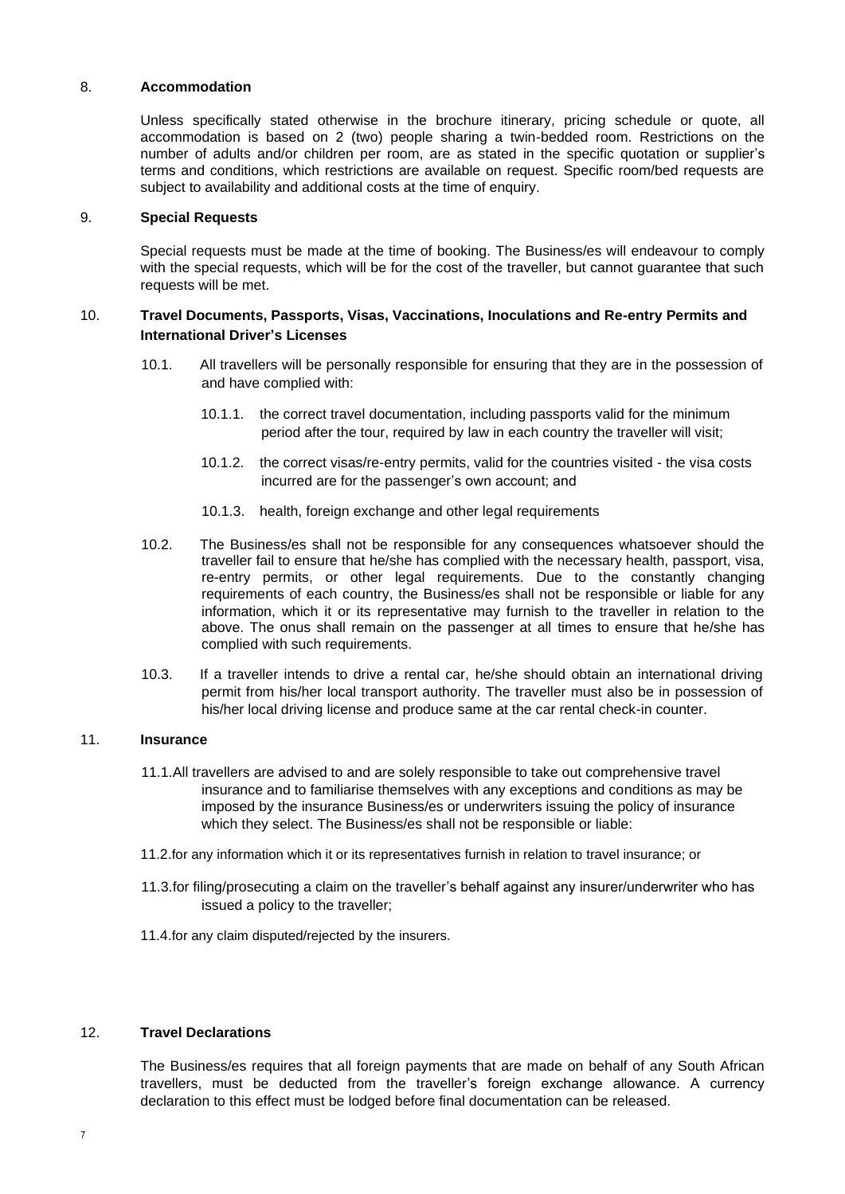### 8. **Accommodation**

Unless specifically stated otherwise in the brochure itinerary, pricing schedule or quote, all accommodation is based on 2 (two) people sharing a twin-bedded room. Restrictions on the number of adults and/or children per room, are as stated in the specific quotation or supplier's terms and conditions, which restrictions are available on request. Specific room/bed requests are subject to availability and additional costs at the time of enquiry.

### 9. **Special Requests**

Special requests must be made at the time of booking. The Business/es will endeavour to comply with the special requests, which will be for the cost of the traveller, but cannot guarantee that such requests will be met.

# 10. **Travel Documents, Passports, Visas, Vaccinations, Inoculations and Re-entry Permits and International Driver's Licenses**

- 10.1. All travellers will be personally responsible for ensuring that they are in the possession of and have complied with:
	- 10.1.1. the correct travel documentation, including passports valid for the minimum period after the tour, required by law in each country the traveller will visit;
	- 10.1.2. the correct visas/re-entry permits, valid for the countries visited the visa costs incurred are for the passenger's own account; and
	- 10.1.3. health, foreign exchange and other legal requirements
- 10.2. The Business/es shall not be responsible for any consequences whatsoever should the traveller fail to ensure that he/she has complied with the necessary health, passport, visa, re-entry permits, or other legal requirements. Due to the constantly changing requirements of each country, the Business/es shall not be responsible or liable for any information, which it or its representative may furnish to the traveller in relation to the above. The onus shall remain on the passenger at all times to ensure that he/she has complied with such requirements.
- 10.3. If a traveller intends to drive a rental car, he/she should obtain an international driving permit from his/her local transport authority. The traveller must also be in possession of his/her local driving license and produce same at the car rental check-in counter.

# 11. **Insurance**

- 11.1.All travellers are advised to and are solely responsible to take out comprehensive travel insurance and to familiarise themselves with any exceptions and conditions as may be imposed by the insurance Business/es or underwriters issuing the policy of insurance which they select. The Business/es shall not be responsible or liable:
- 11.2.for any information which it or its representatives furnish in relation to travel insurance; or
- 11.3.for filing/prosecuting a claim on the traveller's behalf against any insurer/underwriter who has issued a policy to the traveller;
- 11.4.for any claim disputed/rejected by the insurers.

# 12. **Travel Declarations**

The Business/es requires that all foreign payments that are made on behalf of any South African travellers, must be deducted from the traveller's foreign exchange allowance. A currency declaration to this effect must be lodged before final documentation can be released.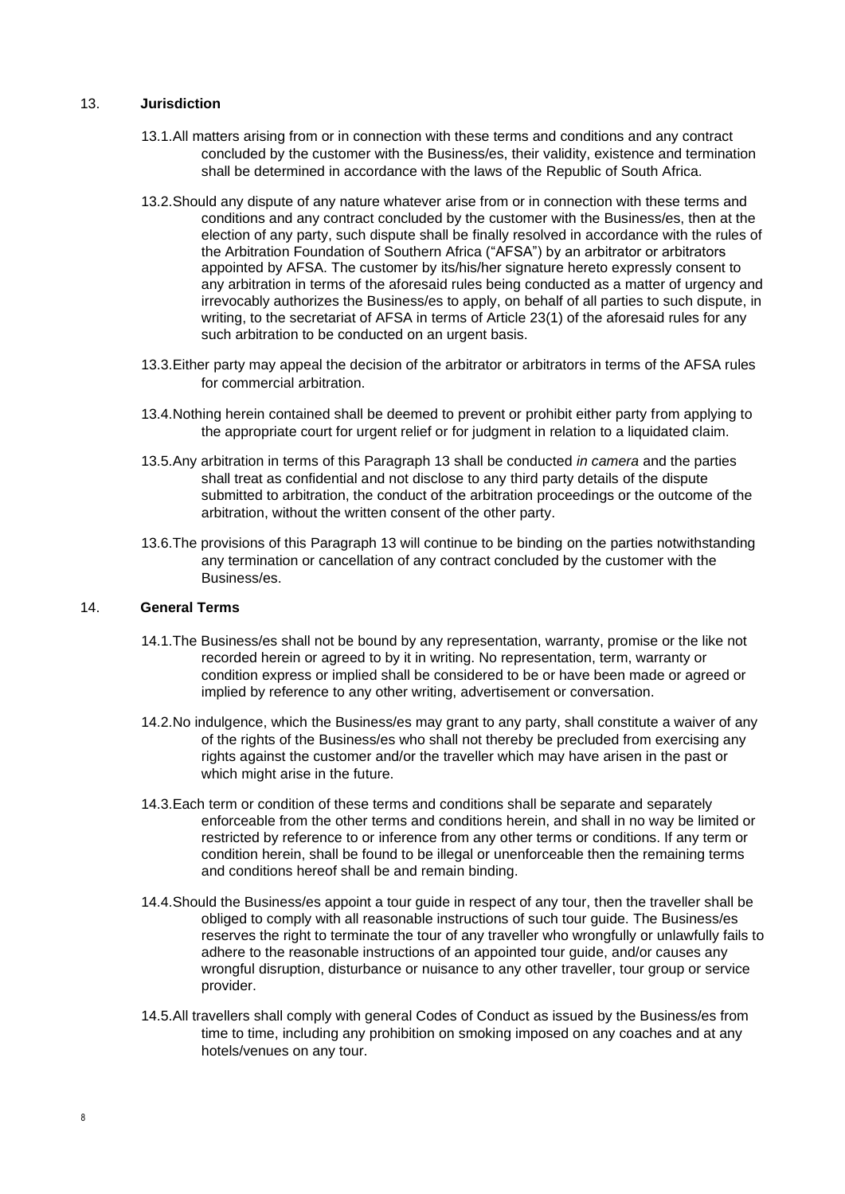# 13. **Jurisdiction**

- 13.1.All matters arising from or in connection with these terms and conditions and any contract concluded by the customer with the Business/es, their validity, existence and termination shall be determined in accordance with the laws of the Republic of South Africa.
- 13.2.Should any dispute of any nature whatever arise from or in connection with these terms and conditions and any contract concluded by the customer with the Business/es, then at the election of any party, such dispute shall be finally resolved in accordance with the rules of the Arbitration Foundation of Southern Africa ("AFSA") by an arbitrator or arbitrators appointed by AFSA. The customer by its/his/her signature hereto expressly consent to any arbitration in terms of the aforesaid rules being conducted as a matter of urgency and irrevocably authorizes the Business/es to apply, on behalf of all parties to such dispute, in writing, to the secretariat of AFSA in terms of Article 23(1) of the aforesaid rules for any such arbitration to be conducted on an urgent basis.
- 13.3.Either party may appeal the decision of the arbitrator or arbitrators in terms of the AFSA rules for commercial arbitration.
- 13.4.Nothing herein contained shall be deemed to prevent or prohibit either party from applying to the appropriate court for urgent relief or for judgment in relation to a liquidated claim.
- 13.5.Any arbitration in terms of this Paragraph 13 shall be conducted *in camera* and the parties shall treat as confidential and not disclose to any third party details of the dispute submitted to arbitration, the conduct of the arbitration proceedings or the outcome of the arbitration, without the written consent of the other party.
- 13.6.The provisions of this Paragraph 13 will continue to be binding on the parties notwithstanding any termination or cancellation of any contract concluded by the customer with the Business/es.

### 14. **General Terms**

- 14.1.The Business/es shall not be bound by any representation, warranty, promise or the like not recorded herein or agreed to by it in writing. No representation, term, warranty or condition express or implied shall be considered to be or have been made or agreed or implied by reference to any other writing, advertisement or conversation.
- 14.2.No indulgence, which the Business/es may grant to any party, shall constitute a waiver of any of the rights of the Business/es who shall not thereby be precluded from exercising any rights against the customer and/or the traveller which may have arisen in the past or which might arise in the future.
- 14.3.Each term or condition of these terms and conditions shall be separate and separately enforceable from the other terms and conditions herein, and shall in no way be limited or restricted by reference to or inference from any other terms or conditions. If any term or condition herein, shall be found to be illegal or unenforceable then the remaining terms and conditions hereof shall be and remain binding.
- 14.4.Should the Business/es appoint a tour guide in respect of any tour, then the traveller shall be obliged to comply with all reasonable instructions of such tour guide. The Business/es reserves the right to terminate the tour of any traveller who wrongfully or unlawfully fails to adhere to the reasonable instructions of an appointed tour guide, and/or causes any wrongful disruption, disturbance or nuisance to any other traveller, tour group or service provider.
- 14.5.All travellers shall comply with general Codes of Conduct as issued by the Business/es from time to time, including any prohibition on smoking imposed on any coaches and at any hotels/venues on any tour.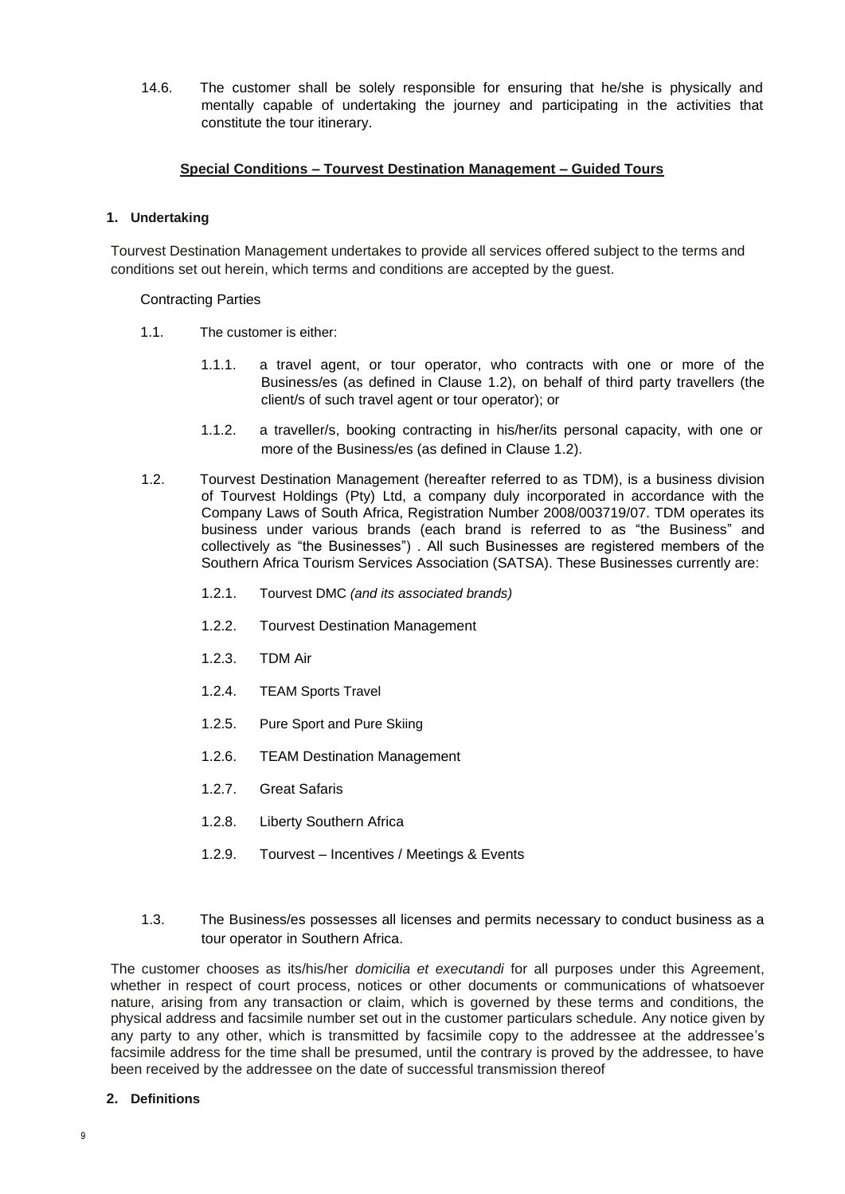14.6. The customer shall be solely responsible for ensuring that he/she is physically and mentally capable of undertaking the journey and participating in the activities that constitute the tour itinerary.

# **Special Conditions – Tourvest Destination Management – Guided Tours**

### **1. Undertaking**

Tourvest Destination Management undertakes to provide all services offered subject to the terms and conditions set out herein, which terms and conditions are accepted by the guest.

### Contracting Parties

- 1.1. The customer is either:
	- 1.1.1. a travel agent, or tour operator, who contracts with one or more of the Business/es (as defined in Clause 1.2), on behalf of third party travellers (the client/s of such travel agent or tour operator); or
	- 1.1.2. a traveller/s, booking contracting in his/her/its personal capacity, with one or more of the Business/es (as defined in Clause 1.2).
- 1.2. Tourvest Destination Management (hereafter referred to as TDM), is a business division of Tourvest Holdings (Pty) Ltd, a company duly incorporated in accordance with the Company Laws of South Africa, Registration Number 2008/003719/07. TDM operates its business under various brands (each brand is referred to as "the Business" and collectively as "the Businesses") . All such Businesses are registered members of the Southern Africa Tourism Services Association (SATSA). These Businesses currently are:
	- 1.2.1. Tourvest DMC *(and its associated brands)*
	- 1.2.2. Tourvest Destination Management
	- 1.2.3. TDM Air
	- 1.2.4. TEAM Sports Travel
	- 1.2.5. Pure Sport and Pure Skiing
	- 1.2.6. TEAM Destination Management
	- 1.2.7. Great Safaris
	- 1.2.8. Liberty Southern Africa
	- 1.2.9. Tourvest Incentives / Meetings & Events
- 1.3. The Business/es possesses all licenses and permits necessary to conduct business as a tour operator in Southern Africa.

The customer chooses as its/his/her *domicilia et executandi* for all purposes under this Agreement, whether in respect of court process, notices or other documents or communications of whatsoever nature, arising from any transaction or claim, which is governed by these terms and conditions, the physical address and facsimile number set out in the customer particulars schedule. Any notice given by any party to any other, which is transmitted by facsimile copy to the addressee at the addressee's facsimile address for the time shall be presumed, until the contrary is proved by the addressee, to have been received by the addressee on the date of successful transmission thereof

#### **2. Definitions**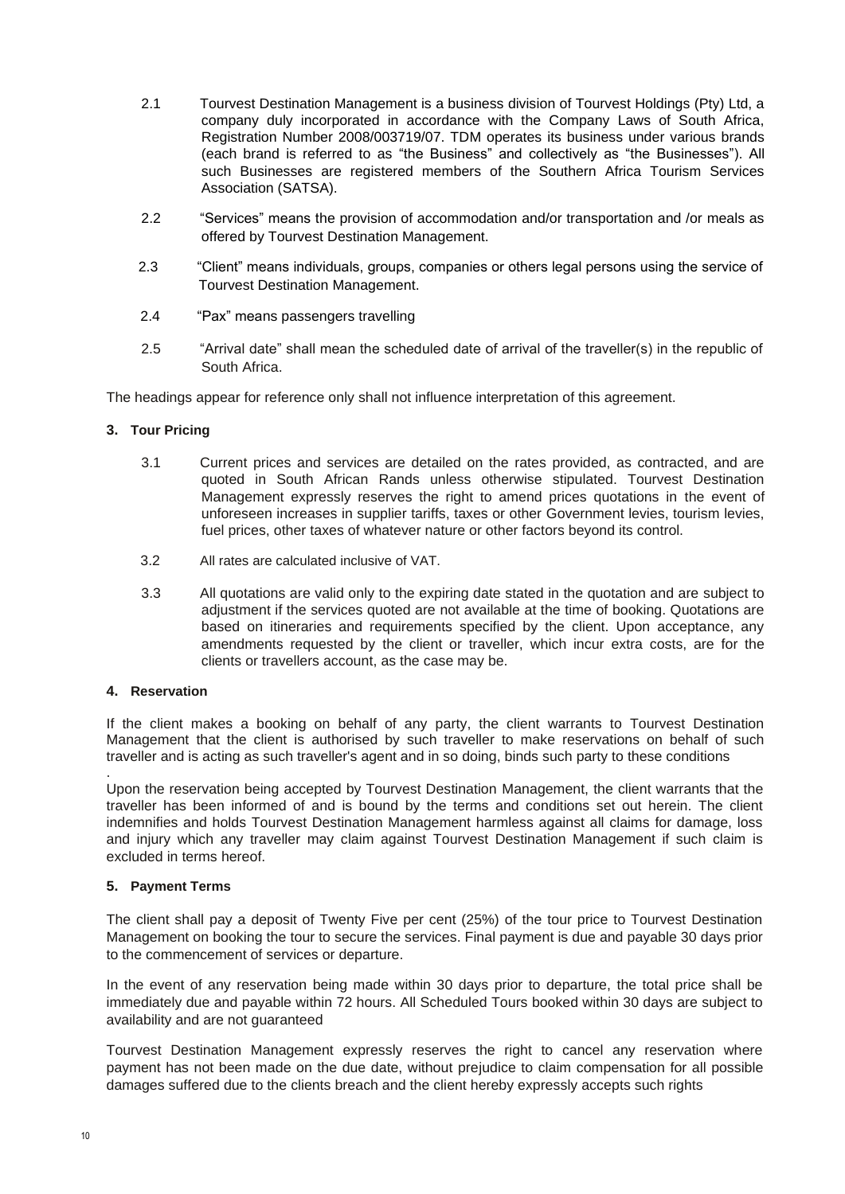- 2.1 Tourvest Destination Management is a business division of Tourvest Holdings (Pty) Ltd, a company duly incorporated in accordance with the Company Laws of South Africa, Registration Number 2008/003719/07. TDM operates its business under various brands (each brand is referred to as "the Business" and collectively as "the Businesses"). All such Businesses are registered members of the Southern Africa Tourism Services Association (SATSA).
- 2.2 "Services" means the provision of accommodation and/or transportation and /or meals as offered by Tourvest Destination Management.
- 2.3 "Client" means individuals, groups, companies or others legal persons using the service of Tourvest Destination Management.
- 2.4 "Pax" means passengers travelling
- 2.5 "Arrival date" shall mean the scheduled date of arrival of the traveller(s) in the republic of South Africa.

The headings appear for reference only shall not influence interpretation of this agreement.

### **3. Tour Pricing**

- 3.1 Current prices and services are detailed on the rates provided, as contracted, and are quoted in South African Rands unless otherwise stipulated. Tourvest Destination Management expressly reserves the right to amend prices quotations in the event of unforeseen increases in supplier tariffs, taxes or other Government levies, tourism levies, fuel prices, other taxes of whatever nature or other factors beyond its control.
- 3.2 All rates are calculated inclusive of VAT.
- 3.3 All quotations are valid only to the expiring date stated in the quotation and are subject to adjustment if the services quoted are not available at the time of booking. Quotations are based on itineraries and requirements specified by the client. Upon acceptance, any amendments requested by the client or traveller, which incur extra costs, are for the clients or travellers account, as the case may be.

### **4. Reservation**

.

If the client makes a booking on behalf of any party, the client warrants to Tourvest Destination Management that the client is authorised by such traveller to make reservations on behalf of such traveller and is acting as such traveller's agent and in so doing, binds such party to these conditions

Upon the reservation being accepted by Tourvest Destination Management, the client warrants that the traveller has been informed of and is bound by the terms and conditions set out herein. The client indemnifies and holds Tourvest Destination Management harmless against all claims for damage, loss and injury which any traveller may claim against Tourvest Destination Management if such claim is excluded in terms hereof.

# **5. Payment Terms**

The client shall pay a deposit of Twenty Five per cent (25%) of the tour price to Tourvest Destination Management on booking the tour to secure the services. Final payment is due and payable 30 days prior to the commencement of services or departure.

In the event of any reservation being made within 30 days prior to departure, the total price shall be immediately due and payable within 72 hours. All Scheduled Tours booked within 30 days are subject to availability and are not guaranteed

Tourvest Destination Management expressly reserves the right to cancel any reservation where payment has not been made on the due date, without prejudice to claim compensation for all possible damages suffered due to the clients breach and the client hereby expressly accepts such rights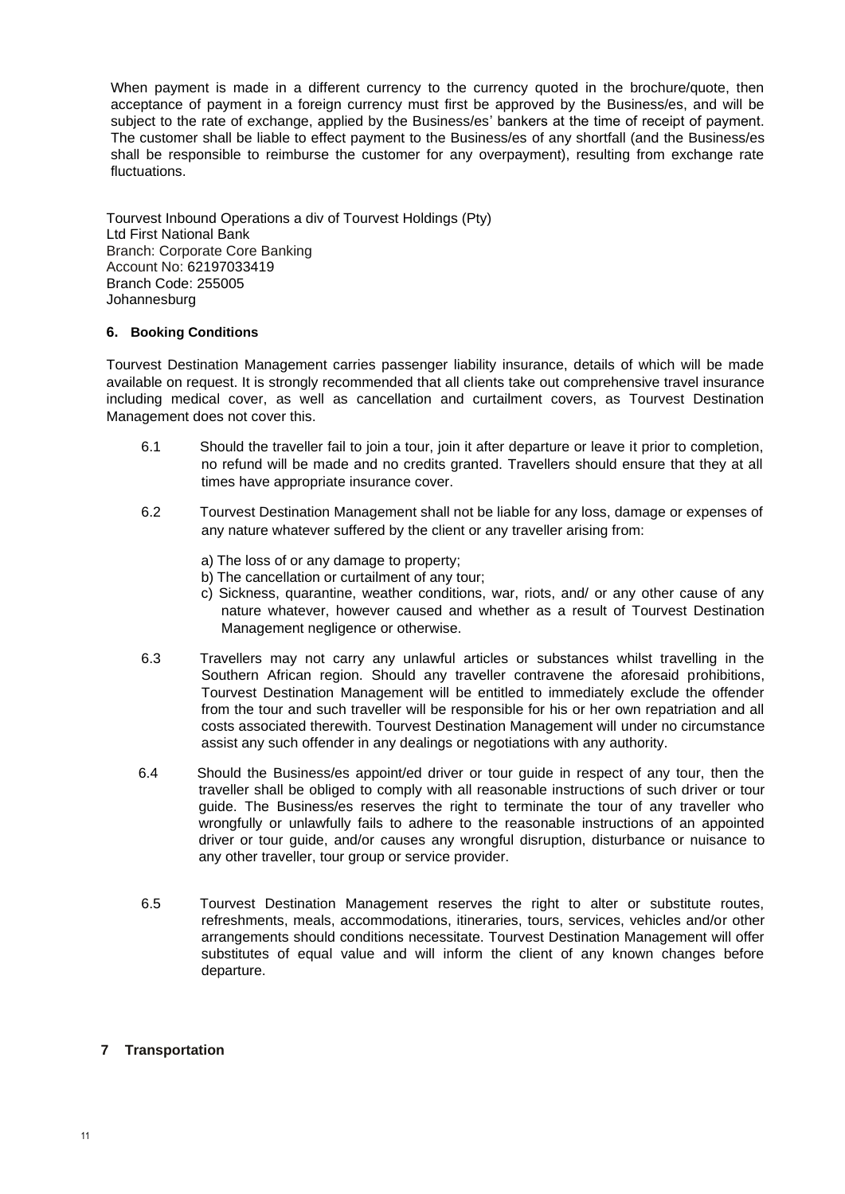When payment is made in a different currency to the currency quoted in the brochure/quote, then acceptance of payment in a foreign currency must first be approved by the Business/es, and will be subject to the rate of exchange, applied by the Business/es' bankers at the time of receipt of payment. The customer shall be liable to effect payment to the Business/es of any shortfall (and the Business/es shall be responsible to reimburse the customer for any overpayment), resulting from exchange rate fluctuations.

Tourvest Inbound Operations a div of Tourvest Holdings (Pty) Ltd First National Bank Branch: Corporate Core Banking Account No: 62197033419 Branch Code: 255005 Johannesburg

### **6. Booking Conditions**

Tourvest Destination Management carries passenger liability insurance, details of which will be made available on request. It is strongly recommended that all clients take out comprehensive travel insurance including medical cover, as well as cancellation and curtailment covers, as Tourvest Destination Management does not cover this.

- 6.1 Should the traveller fail to join a tour, join it after departure or leave it prior to completion, no refund will be made and no credits granted. Travellers should ensure that they at all times have appropriate insurance cover.
- 6.2 Tourvest Destination Management shall not be liable for any loss, damage or expenses of any nature whatever suffered by the client or any traveller arising from:
	- a) The loss of or any damage to property;
	- b) The cancellation or curtailment of any tour;
	- c) Sickness, quarantine, weather conditions, war, riots, and/ or any other cause of any nature whatever, however caused and whether as a result of Tourvest Destination Management negligence or otherwise.
- 6.3 Travellers may not carry any unlawful articles or substances whilst travelling in the Southern African region. Should any traveller contravene the aforesaid prohibitions, Tourvest Destination Management will be entitled to immediately exclude the offender from the tour and such traveller will be responsible for his or her own repatriation and all costs associated therewith. Tourvest Destination Management will under no circumstance assist any such offender in any dealings or negotiations with any authority.
- 6.4 Should the Business/es appoint/ed driver or tour guide in respect of any tour, then the traveller shall be obliged to comply with all reasonable instructions of such driver or tour guide. The Business/es reserves the right to terminate the tour of any traveller who wrongfully or unlawfully fails to adhere to the reasonable instructions of an appointed driver or tour guide, and/or causes any wrongful disruption, disturbance or nuisance to any other traveller, tour group or service provider.
- 6.5 Tourvest Destination Management reserves the right to alter or substitute routes, refreshments, meals, accommodations, itineraries, tours, services, vehicles and/or other arrangements should conditions necessitate. Tourvest Destination Management will offer substitutes of equal value and will inform the client of any known changes before departure.

# **7 Transportation**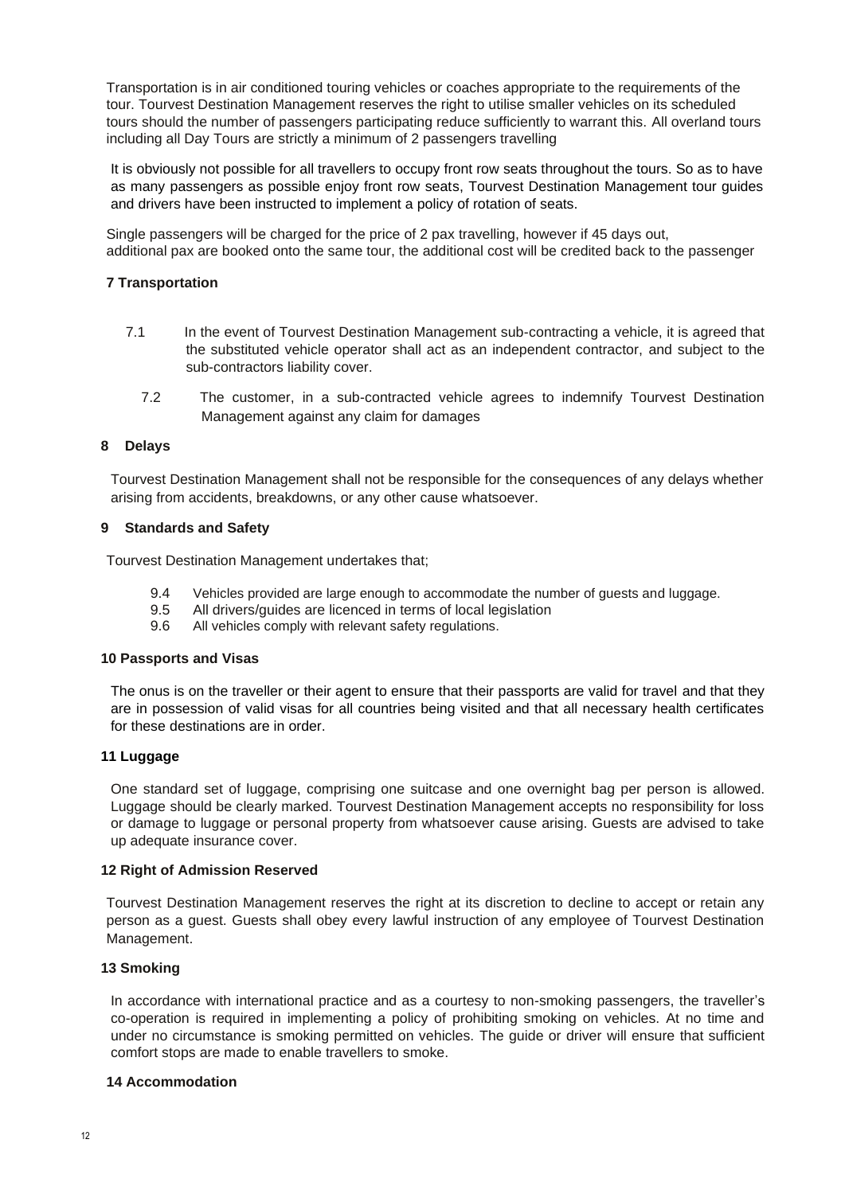Transportation is in air conditioned touring vehicles or coaches appropriate to the requirements of the tour. Tourvest Destination Management reserves the right to utilise smaller vehicles on its scheduled tours should the number of passengers participating reduce sufficiently to warrant this. All overland tours including all Day Tours are strictly a minimum of 2 passengers travelling

It is obviously not possible for all travellers to occupy front row seats throughout the tours. So as to have as many passengers as possible enjoy front row seats, Tourvest Destination Management tour guides and drivers have been instructed to implement a policy of rotation of seats.

Single passengers will be charged for the price of 2 pax travelling, however if 45 days out, additional pax are booked onto the same tour, the additional cost will be credited back to the passenger

### **7 Transportation**

- 7.1 In the event of Tourvest Destination Management sub-contracting a vehicle, it is agreed that the substituted vehicle operator shall act as an independent contractor, and subject to the sub-contractors liability cover.
	- 7.2 The customer, in a sub-contracted vehicle agrees to indemnify Tourvest Destination Management against any claim for damages

### **8 Delays**

Tourvest Destination Management shall not be responsible for the consequences of any delays whether arising from accidents, breakdowns, or any other cause whatsoever.

### **9 Standards and Safety**

Tourvest Destination Management undertakes that;

- 9.4 Vehicles provided are large enough to accommodate the number of guests and luggage.
- 9.5 All drivers/guides are licenced in terms of local legislation
- 9.6 All vehicles comply with relevant safety regulations.

#### **10 Passports and Visas**

The onus is on the traveller or their agent to ensure that their passports are valid for travel and that they are in possession of valid visas for all countries being visited and that all necessary health certificates for these destinations are in order.

### **11 Luggage**

One standard set of luggage, comprising one suitcase and one overnight bag per person is allowed. Luggage should be clearly marked. Tourvest Destination Management accepts no responsibility for loss or damage to luggage or personal property from whatsoever cause arising. Guests are advised to take up adequate insurance cover.

#### **12 Right of Admission Reserved**

Tourvest Destination Management reserves the right at its discretion to decline to accept or retain any person as a guest. Guests shall obey every lawful instruction of any employee of Tourvest Destination Management.

### **13 Smoking**

In accordance with international practice and as a courtesy to non-smoking passengers, the traveller's co-operation is required in implementing a policy of prohibiting smoking on vehicles. At no time and under no circumstance is smoking permitted on vehicles. The guide or driver will ensure that sufficient comfort stops are made to enable travellers to smoke.

#### **14 Accommodation**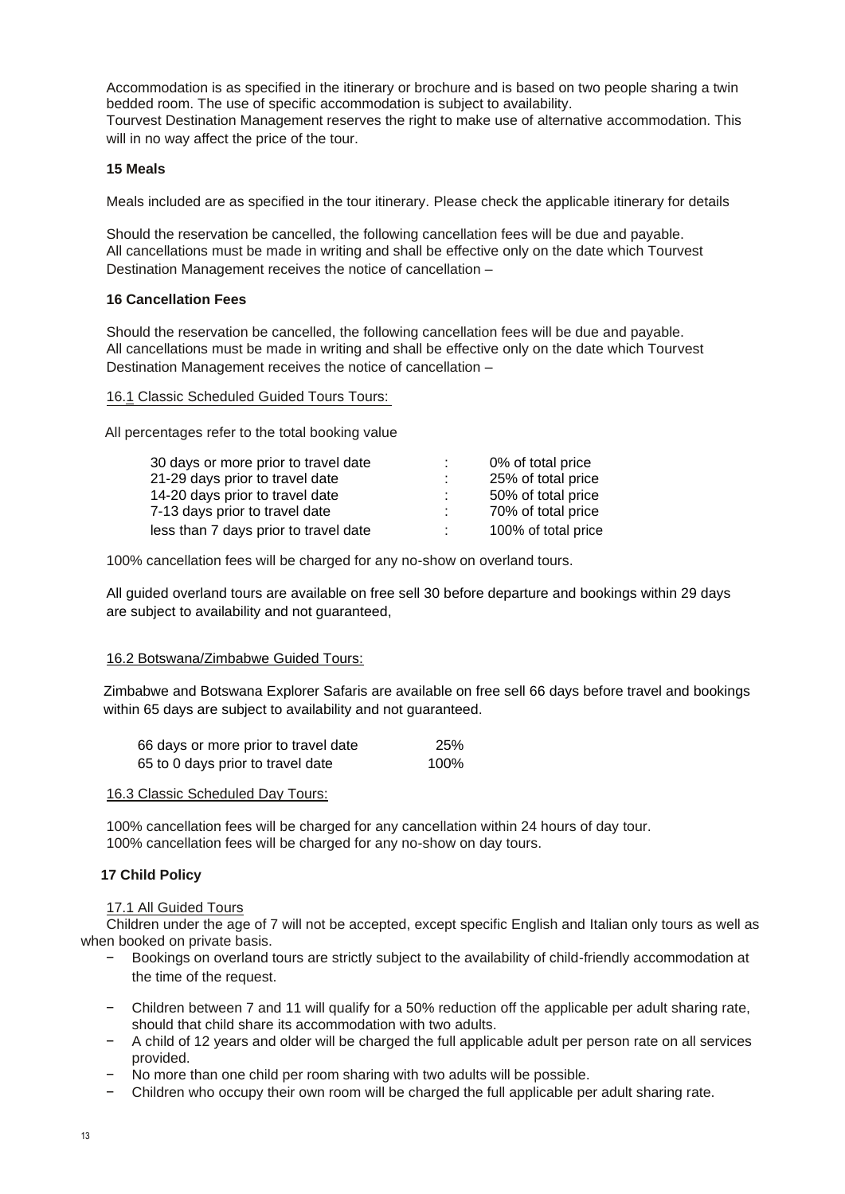Accommodation is as specified in the itinerary or brochure and is based on two people sharing a twin bedded room. The use of specific accommodation is subject to availability. Tourvest Destination Management reserves the right to make use of alternative accommodation. This

will in no way affect the price of the tour.

### **15 Meals**

Meals included are as specified in the tour itinerary. Please check the applicable itinerary for details

Should the reservation be cancelled, the following cancellation fees will be due and payable. All cancellations must be made in writing and shall be effective only on the date which Tourvest Destination Management receives the notice of cancellation –

### **16 Cancellation Fees**

Should the reservation be cancelled, the following cancellation fees will be due and payable. All cancellations must be made in writing and shall be effective only on the date which Tourvest Destination Management receives the notice of cancellation –

### 16.1 Classic Scheduled Guided Tours Tours:

All percentages refer to the total booking value

| 30 days or more prior to travel date  | 0% of total price   |
|---------------------------------------|---------------------|
| 21-29 days prior to travel date       | 25% of total price  |
| 14-20 days prior to travel date       | 50% of total price  |
| 7-13 days prior to travel date        | 70% of total price  |
| less than 7 days prior to travel date | 100% of total price |

100% cancellation fees will be charged for any no-show on overland tours.

All guided overland tours are available on free sell 30 before departure and bookings within 29 days are subject to availability and not guaranteed,

# 16.2 Botswana/Zimbabwe Guided Tours:

Zimbabwe and Botswana Explorer Safaris are available on free sell 66 days before travel and bookings within 65 days are subject to availability and not guaranteed.

| 66 days or more prior to travel date | 25%  |
|--------------------------------------|------|
| 65 to 0 days prior to travel date    | 100% |

### 16.3 Classic Scheduled Day Tours:

100% cancellation fees will be charged for any cancellation within 24 hours of day tour. 100% cancellation fees will be charged for any no-show on day tours.

# **17 Child Policy**

### 17.1 All Guided Tours

Children under the age of 7 will not be accepted, except specific English and Italian only tours as well as when booked on private basis.

- − Bookings on overland tours are strictly subject to the availability of child-friendly accommodation at the time of the request.
- − Children between 7 and 11 will qualify for a 50% reduction off the applicable per adult sharing rate, should that child share its accommodation with two adults.
- − A child of 12 years and older will be charged the full applicable adult per person rate on all services provided.
- No more than one child per room sharing with two adults will be possible.
- − Children who occupy their own room will be charged the full applicable per adult sharing rate.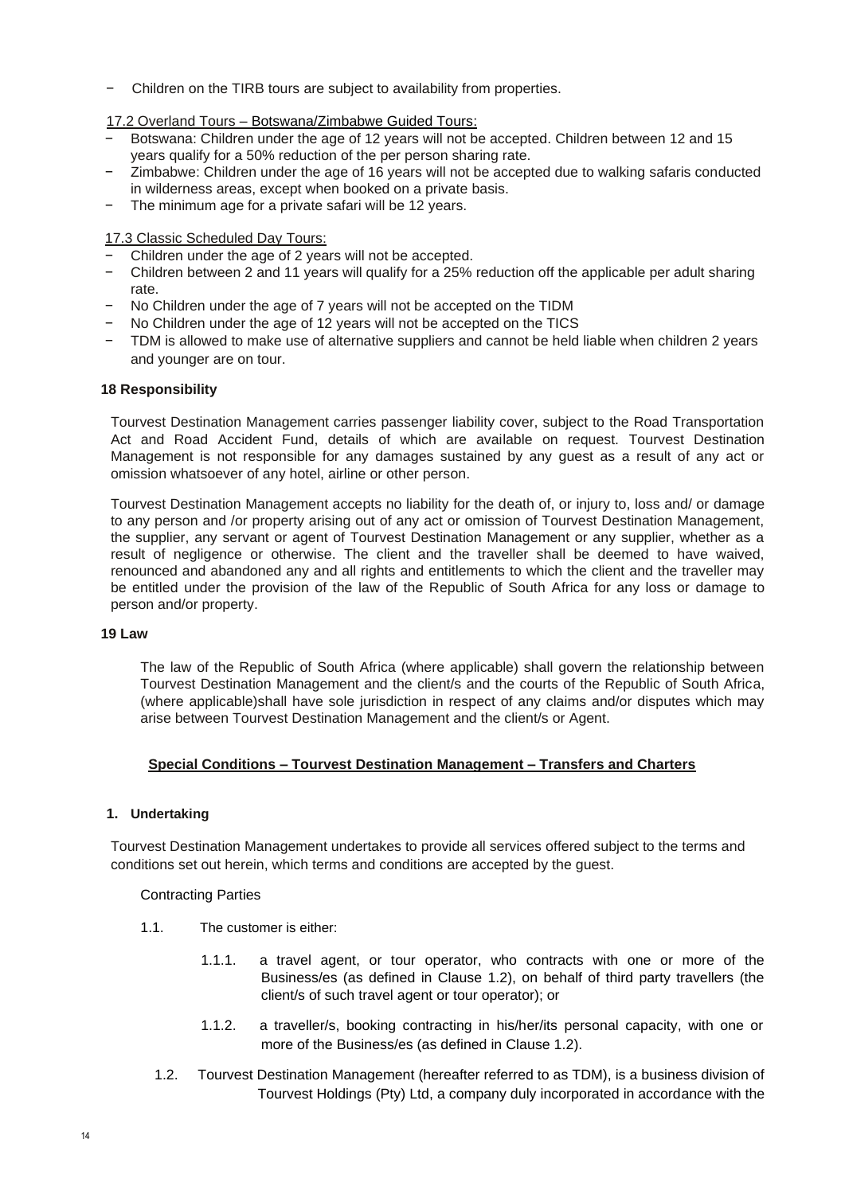- − Children on the TIRB tours are subject to availability from properties.
- 17.2 Overland Tours Botswana/Zimbabwe Guided Tours:
- − Botswana: Children under the age of 12 years will not be accepted. Children between 12 and 15 years qualify for a 50% reduction of the per person sharing rate.
- Zimbabwe: Children under the age of 16 years will not be accepted due to walking safaris conducted in wilderness areas, except when booked on a private basis.
- The minimum age for a private safari will be 12 years.

17.3 Classic Scheduled Day Tours:

- − Children under the age of 2 years will not be accepted.
- − Children between 2 and 11 years will qualify for a 25% reduction off the applicable per adult sharing rate.
- − No Children under the age of 7 years will not be accepted on the TIDM
- − No Children under the age of 12 years will not be accepted on the TICS
- − TDM is allowed to make use of alternative suppliers and cannot be held liable when children 2 years and younger are on tour.

### **18 Responsibility**

Tourvest Destination Management carries passenger liability cover, subject to the Road Transportation Act and Road Accident Fund, details of which are available on request. Tourvest Destination Management is not responsible for any damages sustained by any guest as a result of any act or omission whatsoever of any hotel, airline or other person.

Tourvest Destination Management accepts no liability for the death of, or injury to, loss and/ or damage to any person and /or property arising out of any act or omission of Tourvest Destination Management, the supplier, any servant or agent of Tourvest Destination Management or any supplier, whether as a result of negligence or otherwise. The client and the traveller shall be deemed to have waived, renounced and abandoned any and all rights and entitlements to which the client and the traveller may be entitled under the provision of the law of the Republic of South Africa for any loss or damage to person and/or property.

### **19 Law**

The law of the Republic of South Africa (where applicable) shall govern the relationship between Tourvest Destination Management and the client/s and the courts of the Republic of South Africa, (where applicable)shall have sole jurisdiction in respect of any claims and/or disputes which may arise between Tourvest Destination Management and the client/s or Agent.

### **Special Conditions – Tourvest Destination Management – Transfers and Charters**

### **1. Undertaking**

Tourvest Destination Management undertakes to provide all services offered subject to the terms and conditions set out herein, which terms and conditions are accepted by the guest.

### Contracting Parties

- 1.1. The customer is either:
	- 1.1.1. a travel agent, or tour operator, who contracts with one or more of the Business/es (as defined in Clause 1.2), on behalf of third party travellers (the client/s of such travel agent or tour operator); or
	- 1.1.2. a traveller/s, booking contracting in his/her/its personal capacity, with one or more of the Business/es (as defined in Clause 1.2).
	- 1.2. Tourvest Destination Management (hereafter referred to as TDM), is a business division of Tourvest Holdings (Pty) Ltd, a company duly incorporated in accordance with the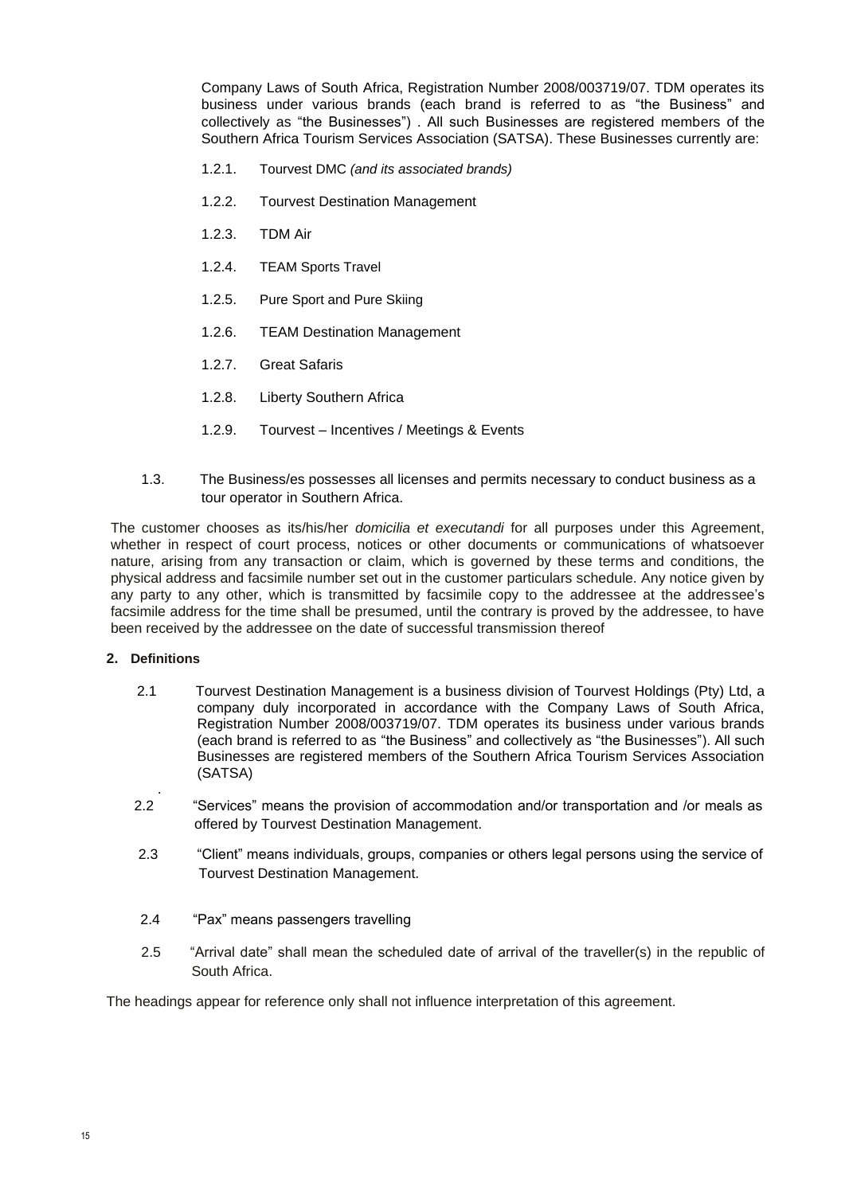Company Laws of South Africa, Registration Number 2008/003719/07. TDM operates its business under various brands (each brand is referred to as "the Business" and collectively as "the Businesses") . All such Businesses are registered members of the Southern Africa Tourism Services Association (SATSA). These Businesses currently are:

- 1.2.1. Tourvest DMC *(and its associated brands)*
- 1.2.2. Tourvest Destination Management
- 1.2.3. TDM Air
- 1.2.4. TEAM Sports Travel
- 1.2.5. Pure Sport and Pure Skiing
- 1.2.6. TEAM Destination Management
- 1.2.7. Great Safaris
- 1.2.8. Liberty Southern Africa
- 1.2.9. Tourvest Incentives / Meetings & Events
- 1.3. The Business/es possesses all licenses and permits necessary to conduct business as a tour operator in Southern Africa.

The customer chooses as its/his/her *domicilia et executandi* for all purposes under this Agreement, whether in respect of court process, notices or other documents or communications of whatsoever nature, arising from any transaction or claim, which is governed by these terms and conditions, the physical address and facsimile number set out in the customer particulars schedule. Any notice given by any party to any other, which is transmitted by facsimile copy to the addressee at the addressee's facsimile address for the time shall be presumed, until the contrary is proved by the addressee, to have been received by the addressee on the date of successful transmission thereof

## **2. Definitions**

- 2.1 Tourvest Destination Management is a business division of Tourvest Holdings (Pty) Ltd, a company duly incorporated in accordance with the Company Laws of South Africa, Registration Number 2008/003719/07. TDM operates its business under various brands (each brand is referred to as "the Business" and collectively as "the Businesses"). All such Businesses are registered members of the Southern Africa Tourism Services Association (SATSA)
- . 2.2 "Services" means the provision of accommodation and/or transportation and /or meals as offered by Tourvest Destination Management.
- 2.3 "Client" means individuals, groups, companies or others legal persons using the service of Tourvest Destination Management.
- 2.4 "Pax" means passengers travelling
- 2.5 "Arrival date" shall mean the scheduled date of arrival of the traveller(s) in the republic of South Africa.

The headings appear for reference only shall not influence interpretation of this agreement.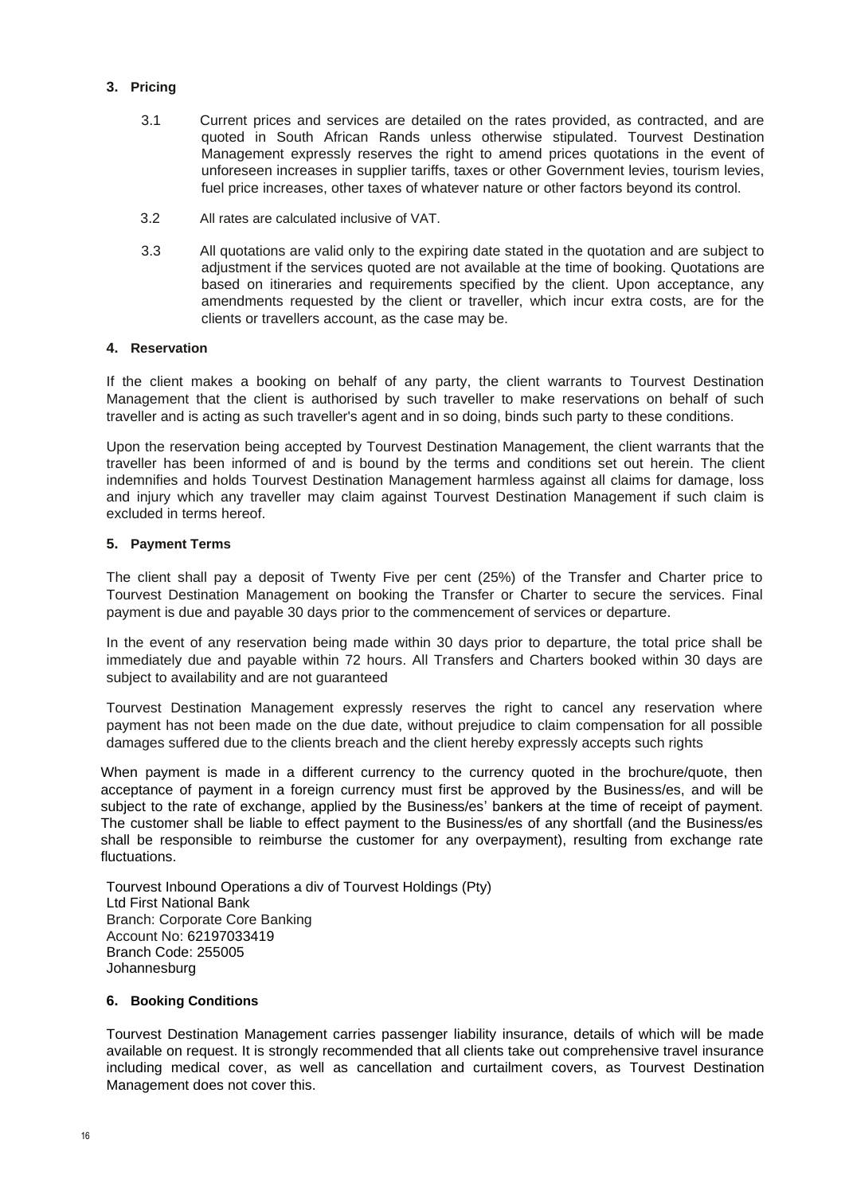# **3. Pricing**

- 3.1 Current prices and services are detailed on the rates provided, as contracted, and are quoted in South African Rands unless otherwise stipulated. Tourvest Destination Management expressly reserves the right to amend prices quotations in the event of unforeseen increases in supplier tariffs, taxes or other Government levies, tourism levies, fuel price increases, other taxes of whatever nature or other factors beyond its control.
- 3.2 All rates are calculated inclusive of VAT.
- 3.3 All quotations are valid only to the expiring date stated in the quotation and are subject to adjustment if the services quoted are not available at the time of booking. Quotations are based on itineraries and requirements specified by the client. Upon acceptance, any amendments requested by the client or traveller, which incur extra costs, are for the clients or travellers account, as the case may be.

## **4. Reservation**

If the client makes a booking on behalf of any party, the client warrants to Tourvest Destination Management that the client is authorised by such traveller to make reservations on behalf of such traveller and is acting as such traveller's agent and in so doing, binds such party to these conditions.

Upon the reservation being accepted by Tourvest Destination Management, the client warrants that the traveller has been informed of and is bound by the terms and conditions set out herein. The client indemnifies and holds Tourvest Destination Management harmless against all claims for damage, loss and injury which any traveller may claim against Tourvest Destination Management if such claim is excluded in terms hereof.

### **5. Payment Terms**

The client shall pay a deposit of Twenty Five per cent (25%) of the Transfer and Charter price to Tourvest Destination Management on booking the Transfer or Charter to secure the services. Final payment is due and payable 30 days prior to the commencement of services or departure.

In the event of any reservation being made within 30 days prior to departure, the total price shall be immediately due and payable within 72 hours. All Transfers and Charters booked within 30 days are subject to availability and are not quaranteed

Tourvest Destination Management expressly reserves the right to cancel any reservation where payment has not been made on the due date, without prejudice to claim compensation for all possible damages suffered due to the clients breach and the client hereby expressly accepts such rights

When payment is made in a different currency to the currency quoted in the brochure/quote, then acceptance of payment in a foreign currency must first be approved by the Business/es, and will be subject to the rate of exchange, applied by the Business/es' bankers at the time of receipt of payment. The customer shall be liable to effect payment to the Business/es of any shortfall (and the Business/es shall be responsible to reimburse the customer for any overpayment), resulting from exchange rate fluctuations.

Tourvest Inbound Operations a div of Tourvest Holdings (Pty) Ltd First National Bank Branch: Corporate Core Banking Account No: 62197033419 Branch Code: 255005 Johannesburg

# **6. Booking Conditions**

Tourvest Destination Management carries passenger liability insurance, details of which will be made available on request. It is strongly recommended that all clients take out comprehensive travel insurance including medical cover, as well as cancellation and curtailment covers, as Tourvest Destination Management does not cover this.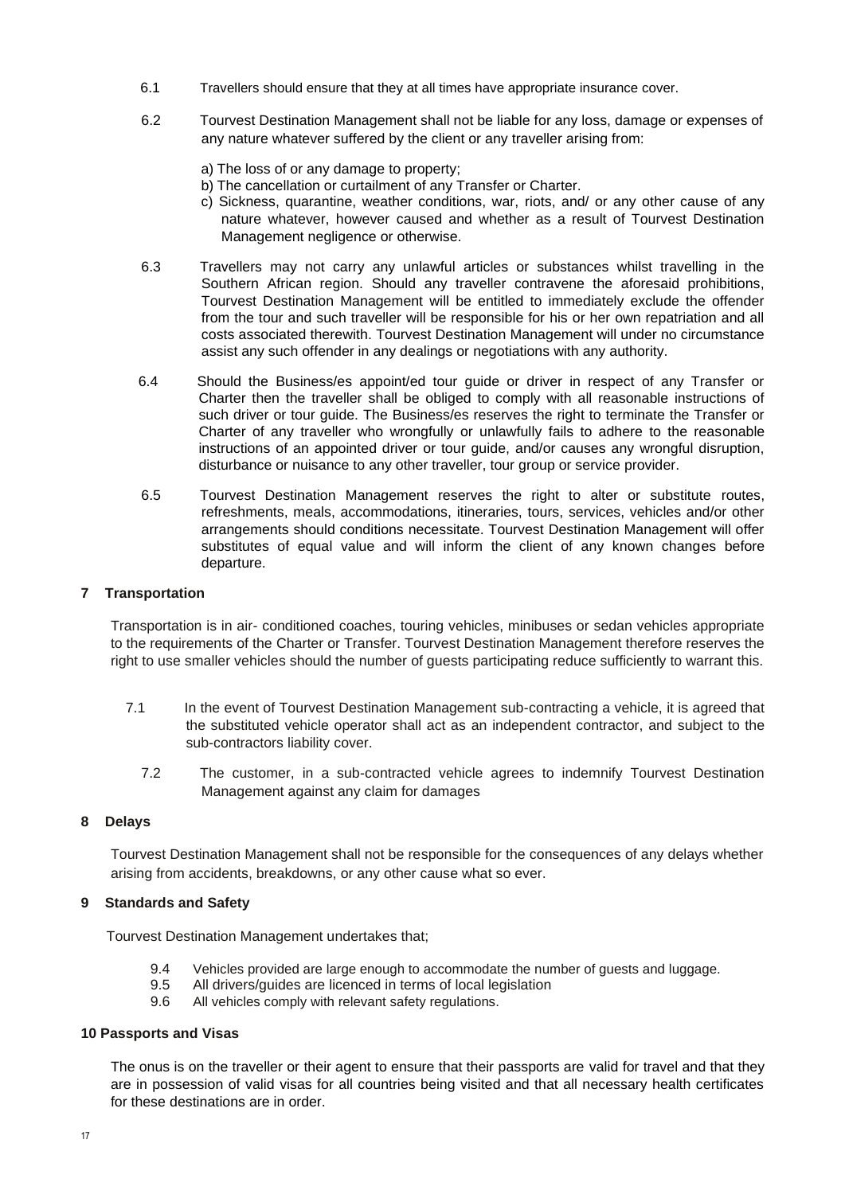- 6.1 Travellers should ensure that they at all times have appropriate insurance cover.
- 6.2 Tourvest Destination Management shall not be liable for any loss, damage or expenses of any nature whatever suffered by the client or any traveller arising from:
	- a) The loss of or any damage to property;
	- b) The cancellation or curtailment of any Transfer or Charter.
	- c) Sickness, quarantine, weather conditions, war, riots, and/ or any other cause of any nature whatever, however caused and whether as a result of Tourvest Destination Management negligence or otherwise.
- 6.3 Travellers may not carry any unlawful articles or substances whilst travelling in the Southern African region. Should any traveller contravene the aforesaid prohibitions, Tourvest Destination Management will be entitled to immediately exclude the offender from the tour and such traveller will be responsible for his or her own repatriation and all costs associated therewith. Tourvest Destination Management will under no circumstance assist any such offender in any dealings or negotiations with any authority.
- 6.4 Should the Business/es appoint/ed tour guide or driver in respect of any Transfer or Charter then the traveller shall be obliged to comply with all reasonable instructions of such driver or tour guide. The Business/es reserves the right to terminate the Transfer or Charter of any traveller who wrongfully or unlawfully fails to adhere to the reasonable instructions of an appointed driver or tour guide, and/or causes any wrongful disruption, disturbance or nuisance to any other traveller, tour group or service provider.
- 6.5 Tourvest Destination Management reserves the right to alter or substitute routes, refreshments, meals, accommodations, itineraries, tours, services, vehicles and/or other arrangements should conditions necessitate. Tourvest Destination Management will offer substitutes of equal value and will inform the client of any known changes before departure.

### **7 Transportation**

Transportation is in air- conditioned coaches, touring vehicles, minibuses or sedan vehicles appropriate to the requirements of the Charter or Transfer. Tourvest Destination Management therefore reserves the right to use smaller vehicles should the number of guests participating reduce sufficiently to warrant this.

- 7.1 In the event of Tourvest Destination Management sub-contracting a vehicle, it is agreed that the substituted vehicle operator shall act as an independent contractor, and subject to the sub-contractors liability cover.
	- 7.2 The customer, in a sub-contracted vehicle agrees to indemnify Tourvest Destination Management against any claim for damages

### **8 Delays**

Tourvest Destination Management shall not be responsible for the consequences of any delays whether arising from accidents, breakdowns, or any other cause what so ever.

### **9 Standards and Safety**

Tourvest Destination Management undertakes that;

- 9.4 Vehicles provided are large enough to accommodate the number of guests and luggage.
- 9.5 All drivers/guides are licenced in terms of local legislation
- 9.6 All vehicles comply with relevant safety regulations.

### **10 Passports and Visas**

The onus is on the traveller or their agent to ensure that their passports are valid for travel and that they are in possession of valid visas for all countries being visited and that all necessary health certificates for these destinations are in order.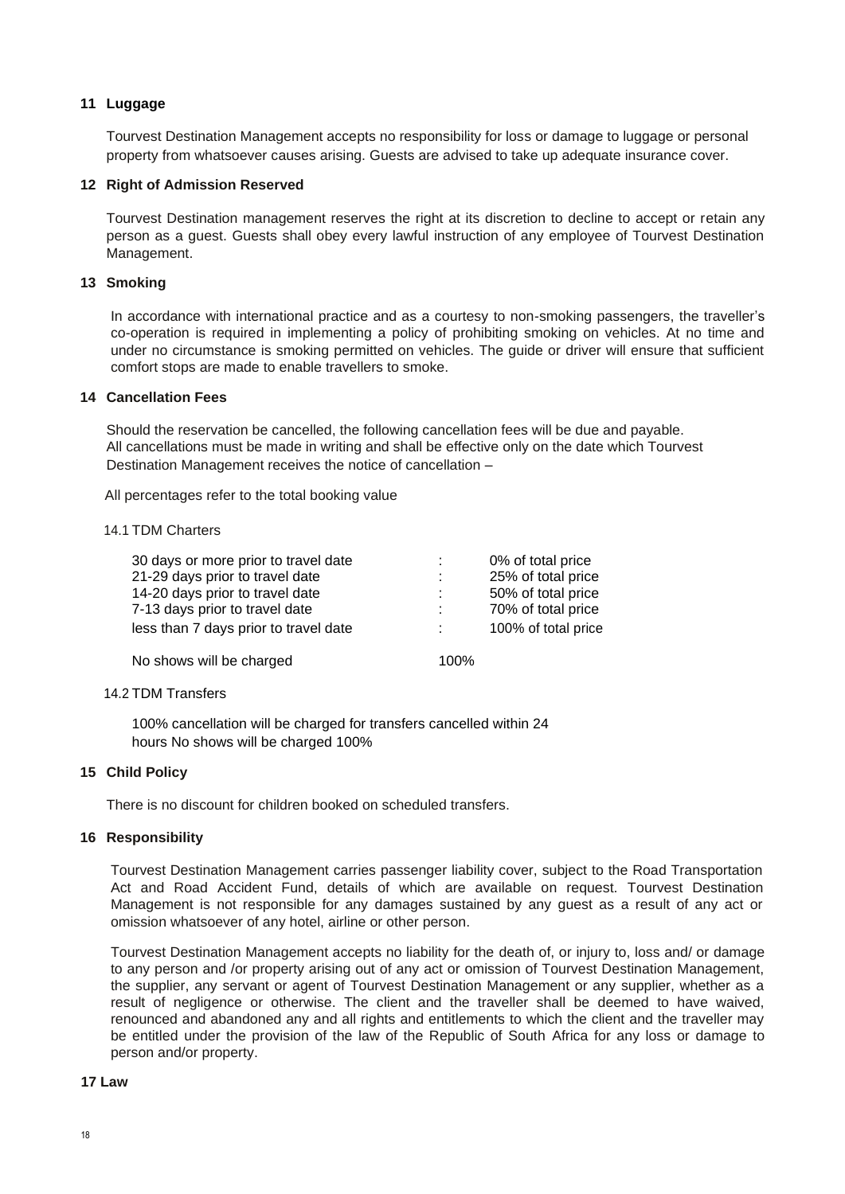# **11 Luggage**

Tourvest Destination Management accepts no responsibility for loss or damage to luggage or personal property from whatsoever causes arising. Guests are advised to take up adequate insurance cover.

### **12 Right of Admission Reserved**

Tourvest Destination management reserves the right at its discretion to decline to accept or retain any person as a guest. Guests shall obey every lawful instruction of any employee of Tourvest Destination Management.

### **13 Smoking**

In accordance with international practice and as a courtesy to non-smoking passengers, the traveller's co-operation is required in implementing a policy of prohibiting smoking on vehicles. At no time and under no circumstance is smoking permitted on vehicles. The guide or driver will ensure that sufficient comfort stops are made to enable travellers to smoke.

### **14 Cancellation Fees**

Should the reservation be cancelled, the following cancellation fees will be due and payable. All cancellations must be made in writing and shall be effective only on the date which Tourvest Destination Management receives the notice of cancellation –

All percentages refer to the total booking value

### 14.1 TDM Charters

| 30 days or more prior to travel date  | 0% of total price   |
|---------------------------------------|---------------------|
| 21-29 days prior to travel date       | 25% of total price  |
| 14-20 days prior to travel date       | 50% of total price  |
| 7-13 days prior to travel date        | 70% of total price  |
| less than 7 days prior to travel date | 100% of total price |
|                                       |                     |

No shows will be charged 100%

### 14.2 TDM Transfers

100% cancellation will be charged for transfers cancelled within 24 hours No shows will be charged 100%

# **15 Child Policy**

There is no discount for children booked on scheduled transfers.

### **16 Responsibility**

Tourvest Destination Management carries passenger liability cover, subject to the Road Transportation Act and Road Accident Fund, details of which are available on request. Tourvest Destination Management is not responsible for any damages sustained by any guest as a result of any act or omission whatsoever of any hotel, airline or other person.

Tourvest Destination Management accepts no liability for the death of, or injury to, loss and/ or damage to any person and /or property arising out of any act or omission of Tourvest Destination Management, the supplier, any servant or agent of Tourvest Destination Management or any supplier, whether as a result of negligence or otherwise. The client and the traveller shall be deemed to have waived, renounced and abandoned any and all rights and entitlements to which the client and the traveller may be entitled under the provision of the law of the Republic of South Africa for any loss or damage to person and/or property.

### **17 Law**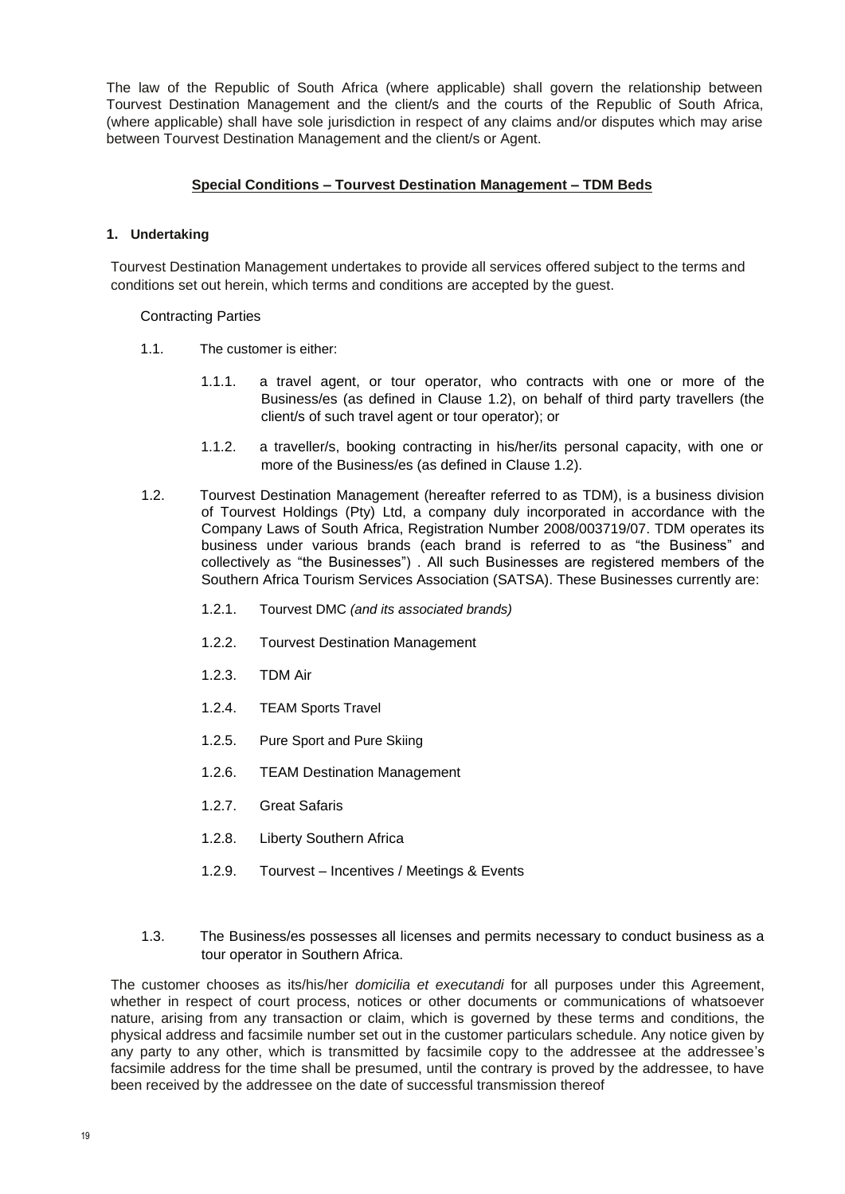The law of the Republic of South Africa (where applicable) shall govern the relationship between Tourvest Destination Management and the client/s and the courts of the Republic of South Africa, (where applicable) shall have sole jurisdiction in respect of any claims and/or disputes which may arise between Tourvest Destination Management and the client/s or Agent.

### **Special Conditions – Tourvest Destination Management – TDM Beds**

### **1. Undertaking**

Tourvest Destination Management undertakes to provide all services offered subject to the terms and conditions set out herein, which terms and conditions are accepted by the guest.

Contracting Parties

- 1.1. The customer is either:
	- 1.1.1. a travel agent, or tour operator, who contracts with one or more of the Business/es (as defined in Clause 1.2), on behalf of third party travellers (the client/s of such travel agent or tour operator); or
	- 1.1.2. a traveller/s, booking contracting in his/her/its personal capacity, with one or more of the Business/es (as defined in Clause 1.2).
- 1.2. Tourvest Destination Management (hereafter referred to as TDM), is a business division of Tourvest Holdings (Pty) Ltd, a company duly incorporated in accordance with the Company Laws of South Africa, Registration Number 2008/003719/07. TDM operates its business under various brands (each brand is referred to as "the Business" and collectively as "the Businesses") . All such Businesses are registered members of the Southern Africa Tourism Services Association (SATSA). These Businesses currently are:
	- 1.2.1. Tourvest DMC *(and its associated brands)*
	- 1.2.2. Tourvest Destination Management
	- 1.2.3. TDM Air
	- 1.2.4. TEAM Sports Travel
	- 1.2.5. Pure Sport and Pure Skiing
	- 1.2.6. TEAM Destination Management
	- 1.2.7. Great Safaris
	- 1.2.8. Liberty Southern Africa
	- 1.2.9. Tourvest Incentives / Meetings & Events
- 1.3. The Business/es possesses all licenses and permits necessary to conduct business as a tour operator in Southern Africa.

The customer chooses as its/his/her *domicilia et executandi* for all purposes under this Agreement, whether in respect of court process, notices or other documents or communications of whatsoever nature, arising from any transaction or claim, which is governed by these terms and conditions, the physical address and facsimile number set out in the customer particulars schedule. Any notice given by any party to any other, which is transmitted by facsimile copy to the addressee at the addressee's facsimile address for the time shall be presumed, until the contrary is proved by the addressee, to have been received by the addressee on the date of successful transmission thereof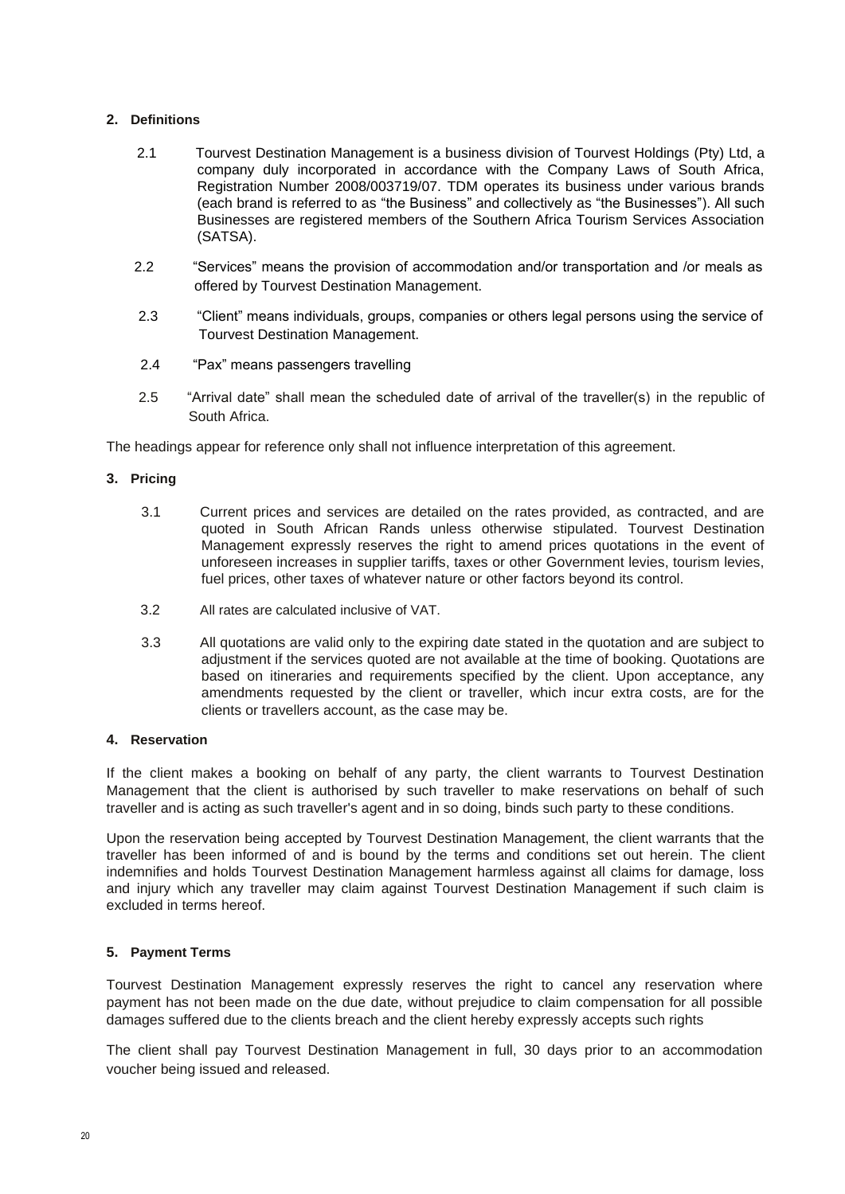## **2. Definitions**

- 2.1 Tourvest Destination Management is a business division of Tourvest Holdings (Pty) Ltd, a company duly incorporated in accordance with the Company Laws of South Africa, Registration Number 2008/003719/07. TDM operates its business under various brands (each brand is referred to as "the Business" and collectively as "the Businesses"). All such Businesses are registered members of the Southern Africa Tourism Services Association (SATSA).
- 2.2 "Services" means the provision of accommodation and/or transportation and /or meals as offered by Tourvest Destination Management.
- 2.3 "Client" means individuals, groups, companies or others legal persons using the service of Tourvest Destination Management.
- 2.4 "Pax" means passengers travelling
- 2.5 "Arrival date" shall mean the scheduled date of arrival of the traveller(s) in the republic of South Africa.

The headings appear for reference only shall not influence interpretation of this agreement.

### **3. Pricing**

- 3.1 Current prices and services are detailed on the rates provided, as contracted, and are quoted in South African Rands unless otherwise stipulated. Tourvest Destination Management expressly reserves the right to amend prices quotations in the event of unforeseen increases in supplier tariffs, taxes or other Government levies, tourism levies, fuel prices, other taxes of whatever nature or other factors beyond its control.
- 3.2 All rates are calculated inclusive of VAT.
- 3.3 All quotations are valid only to the expiring date stated in the quotation and are subject to adjustment if the services quoted are not available at the time of booking. Quotations are based on itineraries and requirements specified by the client. Upon acceptance, any amendments requested by the client or traveller, which incur extra costs, are for the clients or travellers account, as the case may be.

### **4. Reservation**

If the client makes a booking on behalf of any party, the client warrants to Tourvest Destination Management that the client is authorised by such traveller to make reservations on behalf of such traveller and is acting as such traveller's agent and in so doing, binds such party to these conditions.

Upon the reservation being accepted by Tourvest Destination Management, the client warrants that the traveller has been informed of and is bound by the terms and conditions set out herein. The client indemnifies and holds Tourvest Destination Management harmless against all claims for damage, loss and injury which any traveller may claim against Tourvest Destination Management if such claim is excluded in terms hereof.

### **5. Payment Terms**

Tourvest Destination Management expressly reserves the right to cancel any reservation where payment has not been made on the due date, without prejudice to claim compensation for all possible damages suffered due to the clients breach and the client hereby expressly accepts such rights

The client shall pay Tourvest Destination Management in full, 30 days prior to an accommodation voucher being issued and released.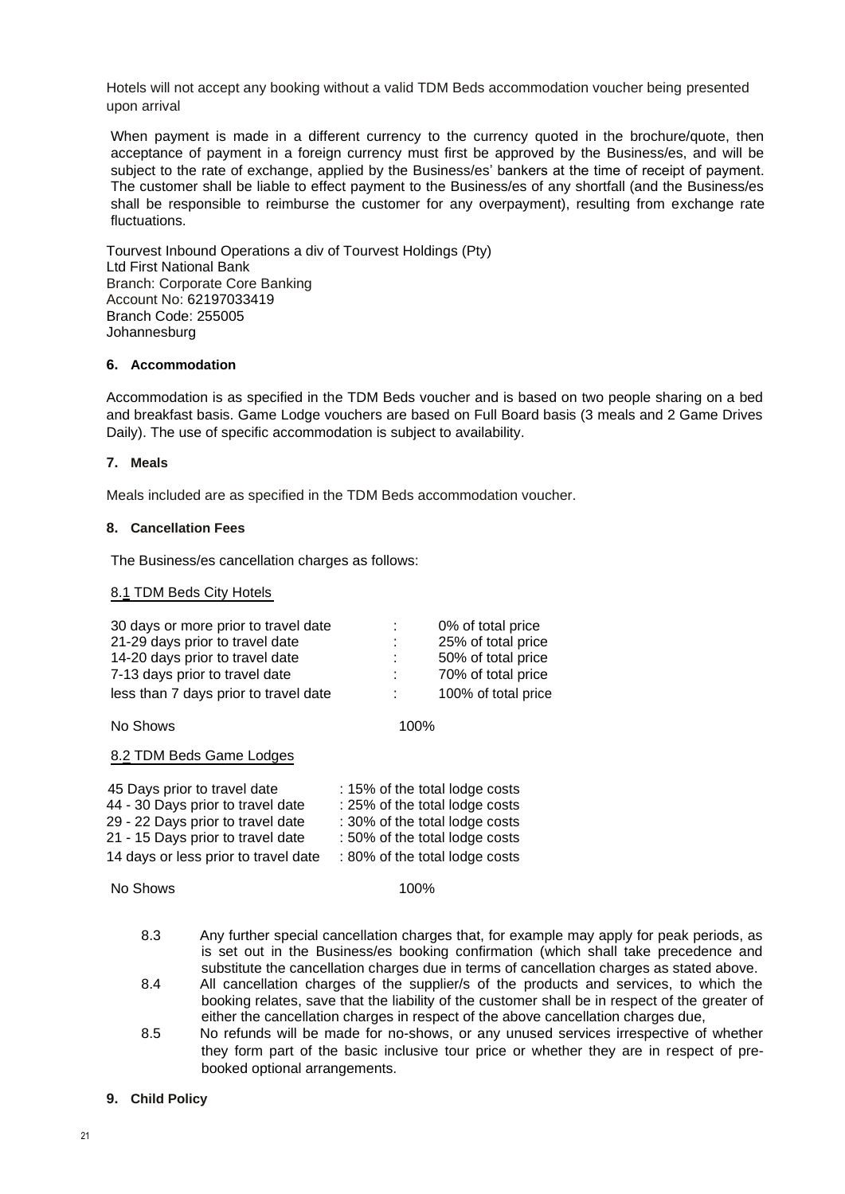Hotels will not accept any booking without a valid TDM Beds accommodation voucher being presented upon arrival

When payment is made in a different currency to the currency quoted in the brochure/quote, then acceptance of payment in a foreign currency must first be approved by the Business/es, and will be subject to the rate of exchange, applied by the Business/es' bankers at the time of receipt of payment. The customer shall be liable to effect payment to the Business/es of any shortfall (and the Business/es shall be responsible to reimburse the customer for any overpayment), resulting from exchange rate fluctuations.

Tourvest Inbound Operations a div of Tourvest Holdings (Pty) Ltd First National Bank Branch: Corporate Core Banking Account No: 62197033419 Branch Code: 255005 Johannesburg

#### **6. Accommodation**

Accommodation is as specified in the TDM Beds voucher and is based on two people sharing on a bed and breakfast basis. Game Lodge vouchers are based on Full Board basis (3 meals and 2 Game Drives Daily). The use of specific accommodation is subject to availability.

#### **7. Meals**

Meals included are as specified in the TDM Beds accommodation voucher.

#### **8. Cancellation Fees**

The Business/es cancellation charges as follows:

#### 8.1 TDM Beds City Hotels

| 30 days or more prior to travel date  |      | 0% of total price   |
|---------------------------------------|------|---------------------|
| 21-29 days prior to travel date       | ÷    | 25% of total price  |
| 14-20 days prior to travel date       | ÷.   | 50% of total price  |
| 7-13 days prior to travel date        | ÷    | 70% of total price  |
| less than 7 days prior to travel date | ÷    | 100% of total price |
| No Shows                              | 100% |                     |

8.2 TDM Beds Game Lodges

| 45 Days prior to travel date         | : 15% of the total lodge costs |
|--------------------------------------|--------------------------------|
| 44 - 30 Days prior to travel date    | : 25% of the total lodge costs |
| 29 - 22 Days prior to travel date    | : 30% of the total lodge costs |
| 21 - 15 Days prior to travel date    | : 50% of the total lodge costs |
| 14 days or less prior to travel date | : 80% of the total lodge costs |

No Shows 100%

- 8.3 Any further special cancellation charges that, for example may apply for peak periods, as is set out in the Business/es booking confirmation (which shall take precedence and substitute the cancellation charges due in terms of cancellation charges as stated above.
- 8.4 All cancellation charges of the supplier/s of the products and services, to which the booking relates, save that the liability of the customer shall be in respect of the greater of either the cancellation charges in respect of the above cancellation charges due,
- 8.5 No refunds will be made for no-shows, or any unused services irrespective of whether they form part of the basic inclusive tour price or whether they are in respect of prebooked optional arrangements.

#### **9. Child Policy**